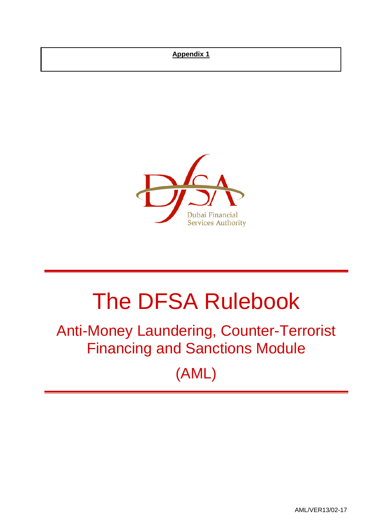## **Appendix 1**



# The DFSA Rulebook

## Anti-Money Laundering, Counter-Terrorist Financing and Sanctions Module

(AML)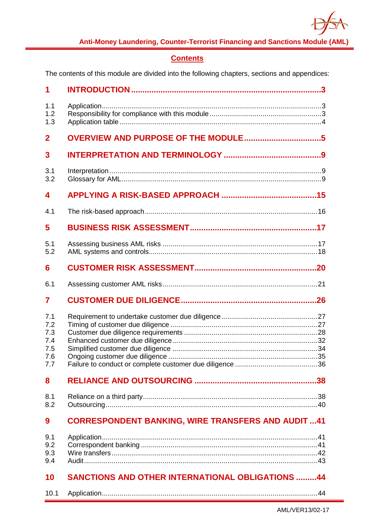

## **Contents**

The contents of this module are divided into the following chapters, sections and appendices:

| 1                                             |                                                           |
|-----------------------------------------------|-----------------------------------------------------------|
| 1.1<br>1.2<br>1.3                             |                                                           |
| $\overline{2}$                                |                                                           |
| 3                                             |                                                           |
| 3.1<br>3.2                                    |                                                           |
| 4                                             |                                                           |
| 4.1                                           |                                                           |
| 5                                             |                                                           |
| 5.1<br>5.2                                    |                                                           |
| 6                                             |                                                           |
| 6.1                                           |                                                           |
| 7                                             |                                                           |
| 7.1<br>7.2<br>7.3<br>7.4<br>7.5<br>7.6<br>7.7 |                                                           |
| 8                                             |                                                           |
| 8.1<br>8.2                                    |                                                           |
| 9                                             | <b>CORRESPONDENT BANKING, WIRE TRANSFERS AND AUDIT 41</b> |
| 9.1<br>9.2<br>9.3<br>9.4                      |                                                           |
| 10                                            | <b>SANCTIONS AND OTHER INTERNATIONAL OBLIGATIONS 44</b>   |
| 10.1                                          |                                                           |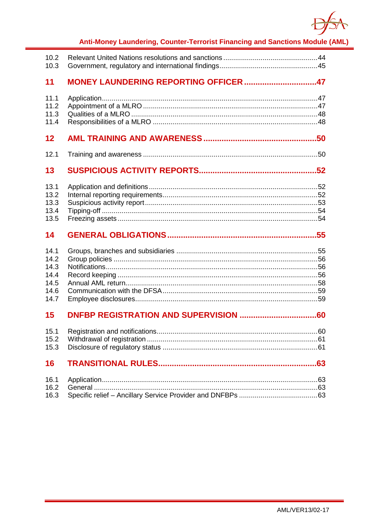

| 10.2<br>10.3                                         |                                       |  |
|------------------------------------------------------|---------------------------------------|--|
| 11                                                   | MONEY LAUNDERING REPORTING OFFICER 47 |  |
| 11.1<br>11.2<br>11.3<br>11.4                         |                                       |  |
| $12 \overline{ }$                                    |                                       |  |
| 12.1                                                 |                                       |  |
| 13                                                   |                                       |  |
| 13.1<br>13.2<br>13.3<br>13.4<br>13.5                 |                                       |  |
|                                                      |                                       |  |
| 14                                                   |                                       |  |
| 14.1<br>14.2<br>14.3<br>14.4<br>14.5<br>14.6<br>14.7 |                                       |  |
| 15                                                   |                                       |  |
| 15.2<br>15.3                                         |                                       |  |
| 16                                                   |                                       |  |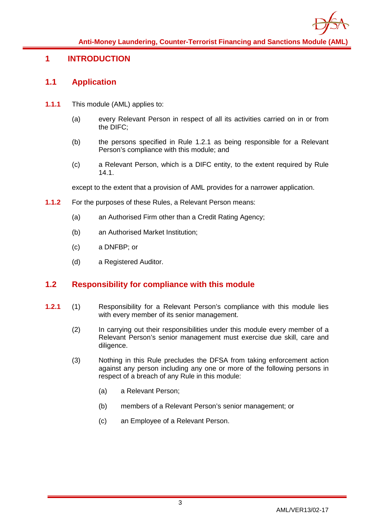

## <span id="page-3-1"></span><span id="page-3-0"></span>**1 INTRODUCTION**

## **1.1 Application**

- **1.1.1** This module (AML) applies to:
	- (a) every Relevant Person in respect of all its activities carried on in or from the DIFC;
	- (b) the persons specified in Rule 1.2.1 as being responsible for a Relevant Person's compliance with this module; and
	- (c) a Relevant Person, which is a DIFC entity, to the extent required by Rule 14.1.

except to the extent that a provision of AML provides for a narrower application.

- **1.1.2** For the purposes of these Rules, a Relevant Person means:
	- (a) an Authorised Firm other than a Credit Rating Agency;
	- (b) an Authorised Market Institution;
	- (c) a DNFBP; or
	- (d) a Registered Auditor.

## <span id="page-3-2"></span>**1.2 Responsibility for compliance with this module**

- **1.2.1** (1) Responsibility for a Relevant Person's compliance with this module lies with every member of its senior management.
	- (2) In carrying out their responsibilities under this module every member of a Relevant Person's senior management must exercise due skill, care and diligence.
	- (3) Nothing in this Rule precludes the DFSA from taking enforcement action against any person including any one or more of the following persons in respect of a breach of any Rule in this module:
		- (a) a Relevant Person;
		- (b) members of a Relevant Person's senior management; or
		- (c) an Employee of a Relevant Person.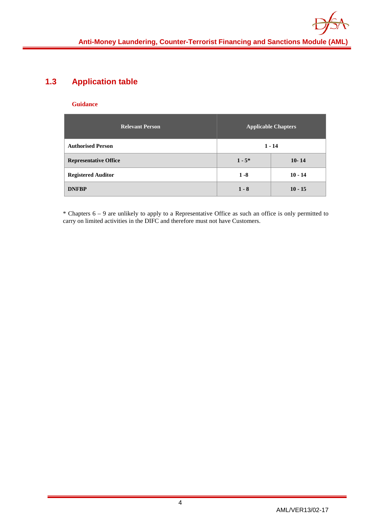## <span id="page-4-0"></span>**1.3 Application table**

#### **Guidance**

| <b>Relevant Person</b>       |           | <b>Applicable Chapters</b> |
|------------------------------|-----------|----------------------------|
| <b>Authorised Person</b>     |           | $1 - 14$                   |
| <b>Representative Office</b> | $1 - 5^*$ | $10 - 14$                  |
| <b>Registered Auditor</b>    | $1 - 8$   | $10 - 14$                  |
| <b>DNFBP</b>                 | $1 - 8$   | $10 - 15$                  |

\* Chapters 6 – 9 are unlikely to apply to a Representative Office as such an office is only permitted to carry on limited activities in the DIFC and therefore must not have Customers.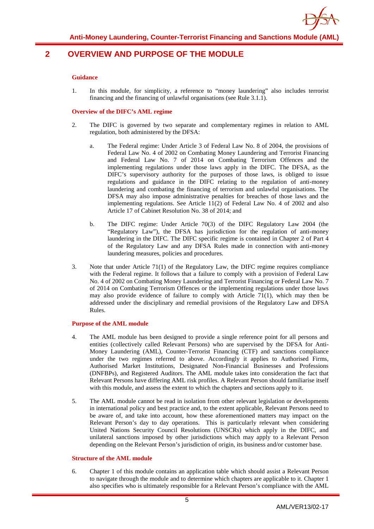

## <span id="page-5-0"></span>**2 OVERVIEW AND PURPOSE OF THE MODULE**

#### **Guidance**

1. In this module, for simplicity, a reference to "money laundering" also includes terrorist financing and the financing of unlawful organisations (see Rule 3.1.1).

#### **Overview of the DIFC's AML regime**

- 2. The DIFC is governed by two separate and complementary regimes in relation to AML regulation, both administered by the DFSA:
	- a. The Federal regime: Under Article 3 of Federal Law No. 8 of 2004, the provisions of Federal Law No. 4 of 2002 on Combating Money Laundering and Terrorist Financing and Federal Law No. 7 of 2014 on Combating Terrorism Offences and the implementing regulations under those laws apply in the DIFC. The DFSA, as the DIFC's supervisory authority for the purposes of those laws, is obliged to issue regulations and guidance in the DIFC relating to the regulation of anti-money laundering and combating the financing of terrorism and unlawful organisations. The DFSA may also impose administrative penalties for breaches of those laws and the implementing regulations. See Article 11(2) of Federal Law No. 4 of 2002 and also Article 17 of Cabinet Resolution No. 38 of 2014; and
	- b. The DIFC regime: Under Article 70(3) of the DIFC Regulatory Law 2004 (the "Regulatory Law"), the DFSA has jurisdiction for the regulation of anti-money laundering in the DIFC. The DIFC specific regime is contained in Chapter 2 of Part 4 of the Regulatory Law and any DFSA Rules made in connection with anti-money laundering measures, policies and procedures.
- 3. Note that under Article 71(1) of the Regulatory Law, the DIFC regime requires compliance with the Federal regime. It follows that a failure to comply with a provision of Federal Law No. 4 of 2002 on Combating Money Laundering and Terrorist Financing or Federal Law No. 7 of 2014 on Combating Terrorism Offences or the implementing regulations under those laws may also provide evidence of failure to comply with Article 71(1), which may then be addressed under the disciplinary and remedial provisions of the Regulatory Law and DFSA Rules.

#### **Purpose of the AML module**

- 4. The AML module has been designed to provide a single reference point for all persons and entities (collectively called Relevant Persons) who are supervised by the DFSA for Anti-Money Laundering (AML), Counter-Terrorist Financing (CTF) and sanctions compliance under the two regimes referred to above. Accordingly it applies to Authorised Firms, Authorised Market Institutions, Designated Non-Financial Businesses and Professions (DNFBPs), and Registered Auditors. The AML module takes into consideration the fact that Relevant Persons have differing AML risk profiles. A Relevant Person should familiarise itself with this module, and assess the extent to which the chapters and sections apply to it.
- 5. The AML module cannot be read in isolation from other relevant legislation or developments in international policy and best practice and, to the extent applicable, Relevant Persons need to be aware of, and take into account, how these aforementioned matters may impact on the Relevant Person's day to day operations. This is particularly relevant when considering United Nations Security Council Resolutions (UNSCRs) which apply in the DIFC, and unilateral sanctions imposed by other jurisdictions which may apply to a Relevant Person depending on the Relevant Person's jurisdiction of origin, its business and/or customer base.

#### **Structure of the AML module**

6. Chapter 1 of this module contains an application table which should assist a Relevant Person to navigate through the module and to determine which chapters are applicable to it. Chapter 1 also specifies who is ultimately responsible for a Relevant Person's compliance with the AML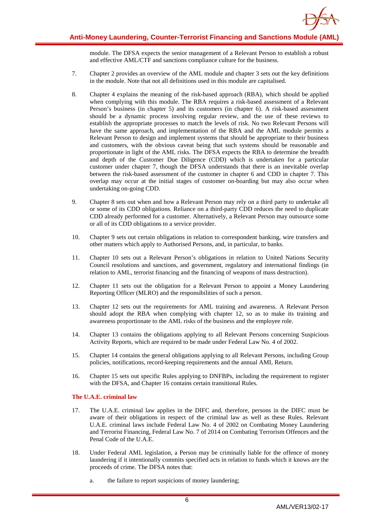

module. The DFSA expects the senior management of a Relevant Person to establish a robust and effective AML/CTF and sanctions compliance culture for the business.

- 7. Chapter 2 provides an overview of the AML module and chapter 3 sets out the key definitions in the module. Note that not all definitions used in this module are capitalised.
- 8. Chapter 4 explains the meaning of the risk-based approach (RBA), which should be applied when complying with this module. The RBA requires a risk-based assessment of a Relevant Person's business (in chapter 5) and its customers (in chapter 6). A risk-based assessment should be a dynamic process involving regular review, and the use of these reviews to establish the appropriate processes to match the levels of risk. No two Relevant Persons will have the same approach, and implementation of the RBA and the AML module permits a Relevant Person to design and implement systems that should be appropriate to their business and customers, with the obvious caveat being that such systems should be reasonable and proportionate in light of the AML risks. The DFSA expects the RBA to determine the breadth and depth of the Customer Due Diligence (CDD) which is undertaken for a particular customer under chapter 7, though the DFSA understands that there is an inevitable overlap between the risk-based assessment of the customer in chapter 6 and CDD in chapter 7. This overlap may occur at the initial stages of customer on-boarding but may also occur when undertaking on-going CDD.
- 9. Chapter 8 sets out when and how a Relevant Person may rely on a third party to undertake all or some of its CDD obligations. Reliance on a third-party CDD reduces the need to duplicate CDD already performed for a customer. Alternatively, a Relevant Person may outsource some or all of its CDD obligations to a service provider.
- 10. Chapter 9 sets out certain obligations in relation to correspondent banking, wire transfers and other matters which apply to Authorised Persons, and, in particular, to banks.
- 11. Chapter 10 sets out a Relevant Person's obligations in relation to United Nations Security Council resolutions and sanctions, and government, regulatory and international findings (in relation to AML, terrorist financing and the financing of weapons of mass destruction).
- 12. Chapter 11 sets out the obligation for a Relevant Person to appoint a Money Laundering Reporting Officer (MLRO) and the responsibilities of such a person.
- 13. Chapter 12 sets out the requirements for AML training and awareness. A Relevant Person should adopt the RBA when complying with chapter 12, so as to make its training and awareness proportionate to the AML risks of the business and the employee role.
- 14. Chapter 13 contains the obligations applying to all Relevant Persons concerning Suspicious Activity Reports, which are required to be made under Federal Law No. 4 of 2002.
- 15. Chapter 14 contains the general obligations applying to all Relevant Persons, including Group policies, notifications, record-keeping requirements and the annual AML Return.
- 16. Chapter 15 sets out specific Rules applying to DNFBPs, including the requirement to register with the DFSA, and Chapter 16 contains certain transitional Rules.

#### **The U.A.E. criminal law**

- 17. The U.A.E. criminal law applies in the DIFC and, therefore, persons in the DIFC must be aware of their obligations in respect of the criminal law as well as these Rules. Relevant U.A.E. criminal laws include Federal Law No. 4 of 2002 on Combating Money Laundering and Terrorist Financing, Federal Law No. 7 of 2014 on Combating Terrorism Offences and the Penal Code of the U.A.E.
- 18. Under Federal AML legislation, a Person may be criminally liable for the offence of money laundering if it intentionally commits specified acts in relation to funds which it knows are the proceeds of crime. The DFSA notes that:
	- a. the failure to report suspicions of money laundering;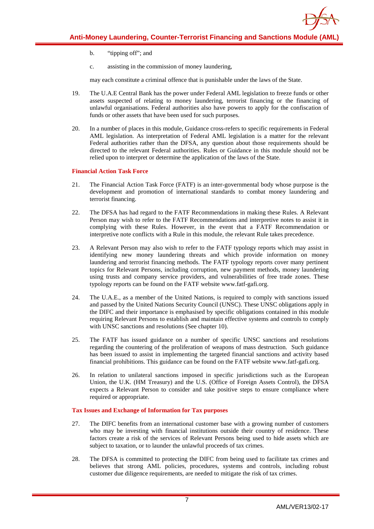- - b. "tipping off"; and
	- c. assisting in the commission of money laundering,

may each constitute a criminal offence that is punishable under the laws of the State.

- 19. The U.A.E Central Bank has the power under Federal AML legislation to freeze funds or other assets suspected of relating to money laundering, terrorist financing or the financing of unlawful organisations. Federal authorities also have powers to apply for the confiscation of funds or other assets that have been used for such purposes.
- 20. In a number of places in this module, Guidance cross-refers to specific requirements in Federal AML legislation. As interpretation of Federal AML legislation is a matter for the relevant Federal authorities rather than the DFSA, any question about those requirements should be directed to the relevant Federal authorities. Rules or Guidance in this module should not be relied upon to interpret or determine the application of the laws of the State.

#### **Financial Action Task Force**

- 21. The Financial Action Task Force (FATF) is an inter-governmental body whose purpose is the development and promotion of international standards to combat money laundering and terrorist financing.
- 22. The DFSA has had regard to the FATF Recommendations in making these Rules. A Relevant Person may wish to refer to the FATF Recommendations and interpretive notes to assist it in complying with these Rules. However, in the event that a FATF Recommendation or interpretive note conflicts with a Rule in this module, the relevant Rule takes precedence.
- 23. A Relevant Person may also wish to refer to the FATF typology reports which may assist in identifying new money laundering threats and which provide information on money laundering and terrorist financing methods. The FATF typology reports cover many pertinent topics for Relevant Persons, including corruption, new payment methods, money laundering using trusts and company service providers, and vulnerabilities of free trade zones. These typology reports can be found on the FATF website www.fatf-gafi.org.
- 24. The U.A.E., as a member of the United Nations, is required to comply with sanctions issued and passed by the United Nations Security Council (UNSC). These UNSC obligations apply in the DIFC and their importance is emphasised by specific obligations contained in this module requiring Relevant Persons to establish and maintain effective systems and controls to comply with UNSC sanctions and resolutions (See chapter 10).
- 25. The FATF has issued guidance on a number of specific UNSC sanctions and resolutions regarding the countering of the proliferation of weapons of mass destruction. Such guidance has been issued to assist in implementing the targeted financial sanctions and activity based financial prohibitions. This guidance can be found on the FATF website www.fatf-gafi.org.
- 26. In relation to unilateral sanctions imposed in specific jurisdictions such as the European Union, the U.K. (HM Treasury) and the U.S. (Office of Foreign Assets Control), the DFSA expects a Relevant Person to consider and take positive steps to ensure compliance where required or appropriate.

#### **Tax Issues and Exchange of Information for Tax purposes**

- 27. The DIFC benefits from an international customer base with a growing number of customers who may be investing with financial institutions outside their country of residence. These factors create a risk of the services of Relevant Persons being used to hide assets which are subject to taxation, or to launder the unlawful proceeds of tax crimes.
- 28. The DFSA is committed to protecting the DIFC from being used to facilitate tax crimes and believes that strong AML policies, procedures, systems and controls, including robust customer due diligence requirements, are needed to mitigate the risk of tax crimes.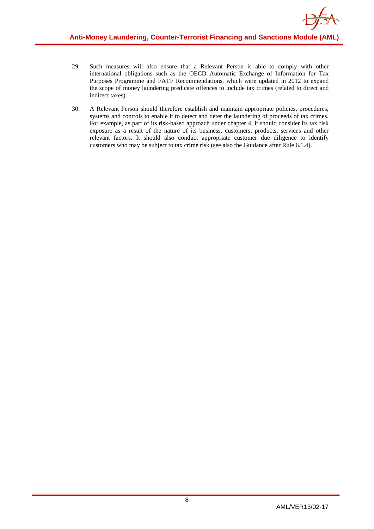- 29. Such measures will also ensure that a Relevant Person is able to comply with other international obligations such as the OECD Automatic Exchange of Information for Tax Purposes Programme and FATF Recommendations, which were updated in 2012 to expand the scope of money laundering predicate offences to include tax crimes (related to direct and indirect taxes).
- 30. A Relevant Person should therefore establish and maintain appropriate policies, procedures, systems and controls to enable it to detect and deter the laundering of proceeds of tax crimes. For example, as part of its risk-based approach under chapter 4, it should consider its tax risk exposure as a result of the nature of its business, customers, products, services and other relevant factors. It should also conduct appropriate customer due diligence to identify customers who may be subject to tax crime risk (see also the Guidance after Rule 6.1.4).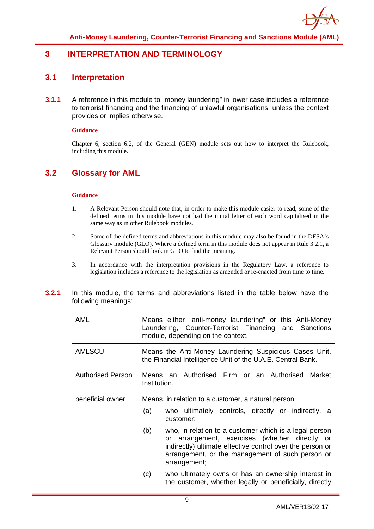

## <span id="page-9-1"></span><span id="page-9-0"></span>**3 INTERPRETATION AND TERMINOLOGY**

## **3.1 Interpretation**

**3.1.1** A reference in this module to "money laundering" in lower case includes a reference to terrorist financing and the financing of unlawful organisations, unless the context provides or implies otherwise.

#### **Guidance**

Chapter 6, section 6.2, of the General (GEN) module sets out how to interpret the Rulebook, including this module.

## <span id="page-9-2"></span>**3.2 Glossary for AML**

- 1. A Relevant Person should note that, in order to make this module easier to read, some of the defined terms in this module have not had the initial letter of each word capitalised in the same way as in other Rulebook modules.
- 2. Some of the defined terms and abbreviations in this module may also be found in the DFSA's Glossary module (GLO). Where a defined term in this module does not appear in Rule 3.2.1, a Relevant Person should look in GLO to find the meaning.
- 3. In accordance with the interpretation provisions in the Regulatory Law, a reference to legislation includes a reference to the legislation as amended or re-enacted from time to time.

| 3.2.1 |                     |  | In this module, the terms and abbreviations listed in the table below have the |  |  |  |  |
|-------|---------------------|--|--------------------------------------------------------------------------------|--|--|--|--|
|       | following meanings: |  |                                                                                |  |  |  |  |

| <b>AML</b>               | Means either "anti-money laundering" or this Anti-Money<br>Laundering, Counter-Terrorist Financing and Sanctions<br>module, depending on the context.                                                                                                                                                                                                                                                                                           |
|--------------------------|-------------------------------------------------------------------------------------------------------------------------------------------------------------------------------------------------------------------------------------------------------------------------------------------------------------------------------------------------------------------------------------------------------------------------------------------------|
| <b>AMLSCU</b>            | Means the Anti-Money Laundering Suspicious Cases Unit,<br>the Financial Intelligence Unit of the U.A.E. Central Bank.                                                                                                                                                                                                                                                                                                                           |
| <b>Authorised Person</b> | Means an Authorised Firm or an Authorised Market<br>Institution.                                                                                                                                                                                                                                                                                                                                                                                |
| beneficial owner         | Means, in relation to a customer, a natural person:<br>who ultimately controls, directly or indirectly, a<br>(a)<br>customer;<br>(b)<br>who, in relation to a customer which is a legal person<br>or arrangement, exercises (whether directly or<br>indirectly) ultimate effective control over the person or<br>arrangement, or the management of such person or<br>arrangement;<br>who ultimately owns or has an ownership interest in<br>(c) |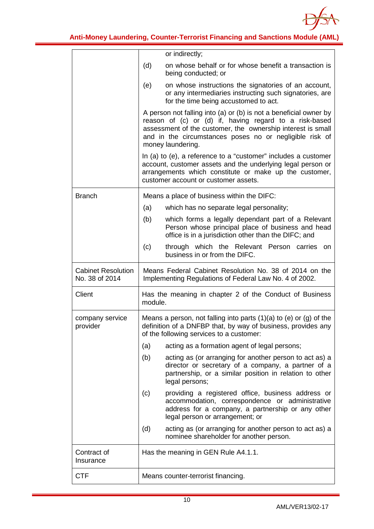

|                                             | or indirectly;                                                                                                                                                                                                                                                             |
|---------------------------------------------|----------------------------------------------------------------------------------------------------------------------------------------------------------------------------------------------------------------------------------------------------------------------------|
|                                             | on whose behalf or for whose benefit a transaction is<br>(d)<br>being conducted; or                                                                                                                                                                                        |
|                                             | on whose instructions the signatories of an account,<br>(e)<br>or any intermediaries instructing such signatories, are<br>for the time being accustomed to act.                                                                                                            |
|                                             | A person not falling into (a) or (b) is not a beneficial owner by<br>reason of (c) or (d) if, having regard to a risk-based<br>assessment of the customer, the ownership interest is small<br>and in the circumstances poses no or negligible risk of<br>money laundering. |
|                                             | In (a) to (e), a reference to a "customer" includes a customer<br>account, customer assets and the underlying legal person or<br>arrangements which constitute or make up the customer,<br>customer account or customer assets.                                            |
| <b>Branch</b>                               | Means a place of business within the DIFC:                                                                                                                                                                                                                                 |
|                                             | (a)<br>which has no separate legal personality;                                                                                                                                                                                                                            |
|                                             | (b)<br>which forms a legally dependant part of a Relevant<br>Person whose principal place of business and head<br>office is in a jurisdiction other than the DIFC; and                                                                                                     |
|                                             | (c)<br>through which the Relevant Person carries<br><b>on</b><br>business in or from the DIFC.                                                                                                                                                                             |
| <b>Cabinet Resolution</b><br>No. 38 of 2014 | Means Federal Cabinet Resolution No. 38 of 2014 on the<br>Implementing Regulations of Federal Law No. 4 of 2002.                                                                                                                                                           |
| Client                                      | Has the meaning in chapter 2 of the Conduct of Business<br>module.                                                                                                                                                                                                         |
| company service<br>provider                 | Means a person, not falling into parts $(1)(a)$ to $(e)$ or $(g)$ of the<br>definition of a DNFBP that, by way of business, provides any<br>of the following services to a customer:                                                                                       |
|                                             | acting as a formation agent of legal persons;<br>(a)                                                                                                                                                                                                                       |
|                                             | (b)<br>acting as (or arranging for another person to act as) a<br>director or secretary of a company, a partner of a<br>partnership, or a similar position in relation to other<br>legal persons;                                                                          |
|                                             | (c)<br>providing a registered office, business address or<br>accommodation, correspondence or administrative<br>address for a company, a partnership or any other<br>legal person or arrangement; or                                                                       |
|                                             | (d)<br>acting as (or arranging for another person to act as) a<br>nominee shareholder for another person.                                                                                                                                                                  |
|                                             |                                                                                                                                                                                                                                                                            |
| Contract of<br>Insurance                    | Has the meaning in GEN Rule A4.1.1.                                                                                                                                                                                                                                        |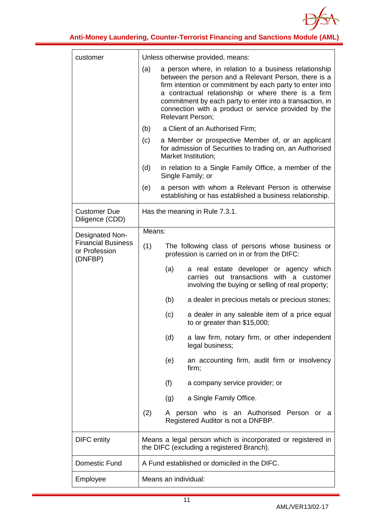

| customer                                              | Unless otherwise provided, means:            |                                                                                                                                                                                                                                                                                                                                                                           |  |  |  |  |
|-------------------------------------------------------|----------------------------------------------|---------------------------------------------------------------------------------------------------------------------------------------------------------------------------------------------------------------------------------------------------------------------------------------------------------------------------------------------------------------------------|--|--|--|--|
|                                                       | (a)                                          | a person where, in relation to a business relationship<br>between the person and a Relevant Person, there is a<br>firm intention or commitment by each party to enter into<br>a contractual relationship or where there is a firm<br>commitment by each party to enter into a transaction, in<br>connection with a product or service provided by the<br>Relevant Person; |  |  |  |  |
|                                                       | (b)                                          | a Client of an Authorised Firm;                                                                                                                                                                                                                                                                                                                                           |  |  |  |  |
|                                                       | (c)                                          | a Member or prospective Member of, or an applicant<br>for admission of Securities to trading on, an Authorised<br>Market Institution;                                                                                                                                                                                                                                     |  |  |  |  |
|                                                       | (d)                                          | in relation to a Single Family Office, a member of the<br>Single Family; or                                                                                                                                                                                                                                                                                               |  |  |  |  |
|                                                       | (e)                                          | a person with whom a Relevant Person is otherwise<br>establishing or has established a business relationship.                                                                                                                                                                                                                                                             |  |  |  |  |
| <b>Customer Due</b><br>Diligence (CDD)                |                                              | Has the meaning in Rule 7.3.1.                                                                                                                                                                                                                                                                                                                                            |  |  |  |  |
| <b>Designated Non-</b>                                | Means:                                       |                                                                                                                                                                                                                                                                                                                                                                           |  |  |  |  |
| <b>Financial Business</b><br>or Profession<br>(DNFBP) | (1)                                          | The following class of persons whose business or<br>profession is carried on in or from the DIFC:                                                                                                                                                                                                                                                                         |  |  |  |  |
|                                                       |                                              | (a)<br>a real estate developer or agency which<br>carries out transactions with a customer<br>involving the buying or selling of real property;                                                                                                                                                                                                                           |  |  |  |  |
|                                                       |                                              | (b)<br>a dealer in precious metals or precious stones;                                                                                                                                                                                                                                                                                                                    |  |  |  |  |
|                                                       |                                              | a dealer in any saleable item of a price equal<br>(c)<br>to or greater than \$15,000;                                                                                                                                                                                                                                                                                     |  |  |  |  |
|                                                       |                                              | (d)<br>a law firm, notary firm, or other independent<br>legal business;                                                                                                                                                                                                                                                                                                   |  |  |  |  |
|                                                       |                                              | an accounting firm, audit firm or insolvency<br>(e)<br>firm;                                                                                                                                                                                                                                                                                                              |  |  |  |  |
|                                                       |                                              | (f)<br>a company service provider; or                                                                                                                                                                                                                                                                                                                                     |  |  |  |  |
|                                                       |                                              | (g)<br>a Single Family Office.                                                                                                                                                                                                                                                                                                                                            |  |  |  |  |
|                                                       | (2)                                          | person who is an Authorised Person<br>A<br>- or<br>a<br>Registered Auditor is not a DNFBP.                                                                                                                                                                                                                                                                                |  |  |  |  |
| <b>DIFC</b> entity                                    |                                              | Means a legal person which is incorporated or registered in<br>the DIFC (excluding a registered Branch).                                                                                                                                                                                                                                                                  |  |  |  |  |
| Domestic Fund                                         | A Fund established or domiciled in the DIFC. |                                                                                                                                                                                                                                                                                                                                                                           |  |  |  |  |
| Employee                                              |                                              | Means an individual:                                                                                                                                                                                                                                                                                                                                                      |  |  |  |  |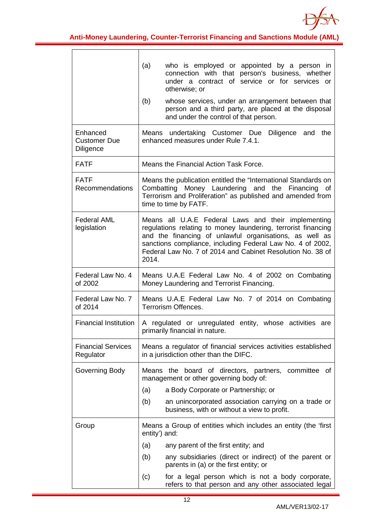

|                                                     | who is employed or appointed by a person in<br>(a)<br>connection with that person's business, whether<br>under a contract of service or for services or<br>otherwise; or<br>(b)<br>whose services, under an arrangement between that<br>person and a third party, are placed at the disposal<br>and under the control of that person. |
|-----------------------------------------------------|---------------------------------------------------------------------------------------------------------------------------------------------------------------------------------------------------------------------------------------------------------------------------------------------------------------------------------------|
| Enhanced<br><b>Customer Due</b><br><b>Diligence</b> | Means undertaking Customer Due<br>Diligence and<br>the<br>enhanced measures under Rule 7.4.1.                                                                                                                                                                                                                                         |
| <b>FATF</b>                                         | Means the Financial Action Task Force.                                                                                                                                                                                                                                                                                                |
| <b>FATF</b><br>Recommendations                      | Means the publication entitled the "International Standards on<br>Combatting Money Laundering and the Financing of<br>Terrorism and Proliferation" as published and amended from<br>time to time by FATF.                                                                                                                             |
| <b>Federal AML</b><br>legislation                   | Means all U.A.E Federal Laws and their implementing<br>regulations relating to money laundering, terrorist financing<br>and the financing of unlawful organisations, as well as<br>sanctions compliance, including Federal Law No. 4 of 2002,<br>Federal Law No. 7 of 2014 and Cabinet Resolution No. 38 of<br>2014.                  |
| Federal Law No. 4<br>of 2002                        | Means U.A.E Federal Law No. 4 of 2002 on Combating<br>Money Laundering and Terrorist Financing.                                                                                                                                                                                                                                       |
| Federal Law No. 7<br>of 2014                        | Means U.A.E Federal Law No. 7 of 2014 on Combating<br>Terrorism Offences.                                                                                                                                                                                                                                                             |
|                                                     |                                                                                                                                                                                                                                                                                                                                       |
| <b>Financial Institution</b>                        | A regulated or unregulated entity, whose activities are<br>primarily financial in nature.                                                                                                                                                                                                                                             |
| <b>Financial Services</b><br>Regulator              | Means a regulator of financial services activities established<br>in a jurisdiction other than the DIFC.                                                                                                                                                                                                                              |
| Governing Body                                      | Means the board of directors, partners, committee<br>of.<br>management or other governing body of:                                                                                                                                                                                                                                    |
|                                                     | a Body Corporate or Partnership; or<br>(a)                                                                                                                                                                                                                                                                                            |
|                                                     | (b)<br>an unincorporated association carrying on a trade or<br>business, with or without a view to profit.                                                                                                                                                                                                                            |
| Group                                               | Means a Group of entities which includes an entity (the 'first<br>entity') and:                                                                                                                                                                                                                                                       |
|                                                     | any parent of the first entity; and<br>(a)                                                                                                                                                                                                                                                                                            |
|                                                     | any subsidiaries (direct or indirect) of the parent or<br>(b)<br>parents in (a) or the first entity; or                                                                                                                                                                                                                               |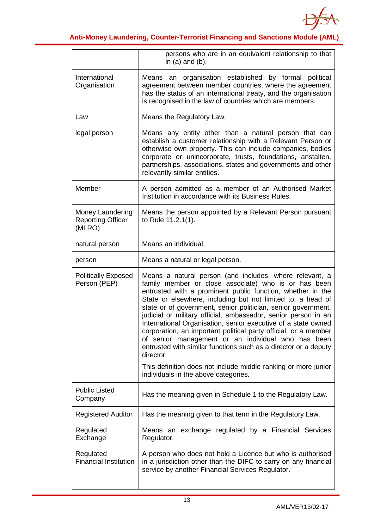

|                                                               | persons who are in an equivalent relationship to that<br>in $(a)$ and $(b)$ .                                                                                                                                                                                                                                                                                                                                                                                                                                                                                                                                                                             |
|---------------------------------------------------------------|-----------------------------------------------------------------------------------------------------------------------------------------------------------------------------------------------------------------------------------------------------------------------------------------------------------------------------------------------------------------------------------------------------------------------------------------------------------------------------------------------------------------------------------------------------------------------------------------------------------------------------------------------------------|
| International<br>Organisation                                 | organisation established by formal<br>political<br>Means<br>an<br>agreement between member countries, where the agreement<br>has the status of an international treaty, and the organisation<br>is recognised in the law of countries which are members.                                                                                                                                                                                                                                                                                                                                                                                                  |
| Law                                                           | Means the Regulatory Law.                                                                                                                                                                                                                                                                                                                                                                                                                                                                                                                                                                                                                                 |
| legal person                                                  | Means any entity other than a natural person that can<br>establish a customer relationship with a Relevant Person or<br>otherwise own property. This can include companies, bodies<br>corporate or unincorporate, trusts, foundations, anstalten,<br>partnerships, associations, states and governments and other<br>relevantly similar entities.                                                                                                                                                                                                                                                                                                         |
| Member                                                        | A person admitted as a member of an Authorised Market<br>Institution in accordance with its Business Rules.                                                                                                                                                                                                                                                                                                                                                                                                                                                                                                                                               |
| <b>Money Laundering</b><br><b>Reporting Officer</b><br>(MLRO) | Means the person appointed by a Relevant Person pursuant<br>to Rule 11.2.1(1).                                                                                                                                                                                                                                                                                                                                                                                                                                                                                                                                                                            |
| natural person                                                | Means an individual.                                                                                                                                                                                                                                                                                                                                                                                                                                                                                                                                                                                                                                      |
| person                                                        | Means a natural or legal person.                                                                                                                                                                                                                                                                                                                                                                                                                                                                                                                                                                                                                          |
| <b>Politically Exposed</b><br>Person (PEP)                    | Means a natural person (and includes, where relevant, a<br>family member or close associate) who is or has been<br>entrusted with a prominent public function, whether in the<br>State or elsewhere, including but not limited to, a head of<br>state or of government, senior politician, senior government,<br>judicial or military official, ambassador, senior person in an<br>International Organisation, senior executive of a state owned<br>corporation, an important political party official, or a member<br>of senior management or an individual who has been<br>entrusted with similar functions such as a director or a deputy<br>director. |
|                                                               | This definition does not include middle ranking or more junior<br>individuals in the above categories.                                                                                                                                                                                                                                                                                                                                                                                                                                                                                                                                                    |
| <b>Public Listed</b><br>Company                               | Has the meaning given in Schedule 1 to the Regulatory Law.                                                                                                                                                                                                                                                                                                                                                                                                                                                                                                                                                                                                |
| <b>Registered Auditor</b>                                     | Has the meaning given to that term in the Regulatory Law.                                                                                                                                                                                                                                                                                                                                                                                                                                                                                                                                                                                                 |
| Regulated<br>Exchange                                         | Means an exchange regulated by a Financial Services<br>Regulator.                                                                                                                                                                                                                                                                                                                                                                                                                                                                                                                                                                                         |
| Regulated<br><b>Financial Institution</b>                     | A person who does not hold a Licence but who is authorised<br>in a jurisdiction other than the DIFC to carry on any financial<br>service by another Financial Services Regulator.                                                                                                                                                                                                                                                                                                                                                                                                                                                                         |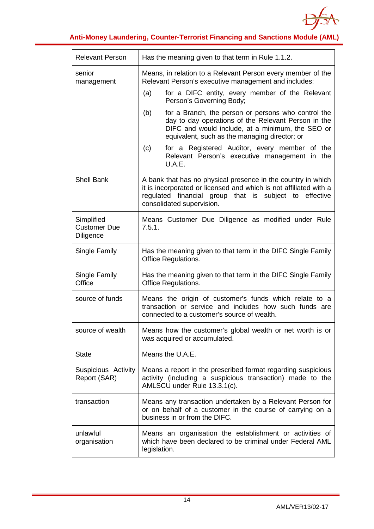

| <b>Relevant Person</b>                         | Has the meaning given to that term in Rule 1.1.2.                                                                                                                                                                        |
|------------------------------------------------|--------------------------------------------------------------------------------------------------------------------------------------------------------------------------------------------------------------------------|
| senior<br>management                           | Means, in relation to a Relevant Person every member of the<br>Relevant Person's executive management and includes:                                                                                                      |
|                                                | for a DIFC entity, every member of the Relevant<br>(a)<br>Person's Governing Body;                                                                                                                                       |
|                                                | for a Branch, the person or persons who control the<br>(b)<br>day to day operations of the Relevant Person in the<br>DIFC and would include, at a minimum, the SEO or<br>equivalent, such as the managing director; or   |
|                                                | for a Registered Auditor, every member of the<br>(c)<br>Relevant Person's executive management in the<br>U.A.E.                                                                                                          |
| <b>Shell Bank</b>                              | A bank that has no physical presence in the country in which<br>it is incorporated or licensed and which is not affiliated with a<br>regulated financial group that is subject to effective<br>consolidated supervision. |
| Simplified<br><b>Customer Due</b><br>Diligence | Means Customer Due Diligence as modified under Rule<br>7.5.1.                                                                                                                                                            |
| Single Family                                  | Has the meaning given to that term in the DIFC Single Family<br><b>Office Regulations.</b>                                                                                                                               |
| Single Family<br>Office                        | Has the meaning given to that term in the DIFC Single Family<br><b>Office Regulations.</b>                                                                                                                               |
| source of funds                                | Means the origin of customer's funds which relate to a<br>transaction or service and includes how such funds are<br>connected to a customer's source of wealth.                                                          |
| source of wealth                               | Means how the customer's global wealth or net worth is or<br>was acquired or accumulated.                                                                                                                                |
| <b>State</b>                                   | Means the U.A.E.                                                                                                                                                                                                         |
| Suspicious Activity<br>Report (SAR)            | Means a report in the prescribed format regarding suspicious<br>activity (including a suspicious transaction) made to the<br>AMLSCU under Rule 13.3.1(c).                                                                |
| transaction                                    | Means any transaction undertaken by a Relevant Person for<br>or on behalf of a customer in the course of carrying on a<br>business in or from the DIFC.                                                                  |
| unlawful<br>organisation                       | Means an organisation the establishment or activities of<br>which have been declared to be criminal under Federal AML<br>legislation.                                                                                    |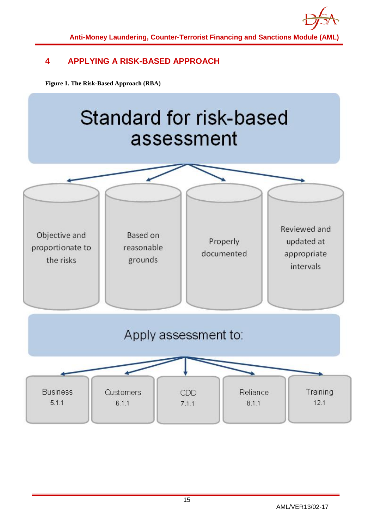

## <span id="page-15-0"></span>**4 APPLYING A RISK-BASED APPROACH**

**Figure 1. The Risk-Based Approach (RBA)**

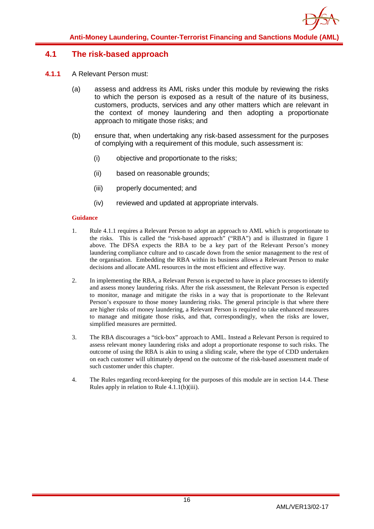## <span id="page-16-0"></span>**4.1 The risk-based approach**

- **4.1.1** A Relevant Person must:
	- (a) assess and address its AML risks under this module by reviewing the risks to which the person is exposed as a result of the nature of its business, customers, products, services and any other matters which are relevant in the context of money laundering and then adopting a proportionate approach to mitigate those risks; and
	- (b) ensure that, when undertaking any risk-based assessment for the purposes of complying with a requirement of this module, such assessment is:
		- (i) objective and proportionate to the risks;
		- (ii) based on reasonable grounds;
		- (iii) properly documented; and
		- (iv) reviewed and updated at appropriate intervals.

- 1. Rule 4.1.1 requires a Relevant Person to adopt an approach to AML which is proportionate to the risks. This is called the "risk-based approach" ("RBA") and is illustrated in figure 1 above. The DFSA expects the RBA to be a key part of the Relevant Person's money laundering compliance culture and to cascade down from the senior management to the rest of the organisation. Embedding the RBA within its business allows a Relevant Person to make decisions and allocate AML resources in the most efficient and effective way.
- 2. In implementing the RBA, a Relevant Person is expected to have in place processes to identify and assess money laundering risks. After the risk assessment, the Relevant Person is expected to monitor, manage and mitigate the risks in a way that is proportionate to the Relevant Person's exposure to those money laundering risks. The general principle is that where there are higher risks of money laundering, a Relevant Person is required to take enhanced measures to manage and mitigate those risks, and that, correspondingly, when the risks are lower, simplified measures are permitted.
- 3. The RBA discourages a "tick-box" approach to AML. Instead a Relevant Person is required to assess relevant money laundering risks and adopt a proportionate response to such risks. The outcome of using the RBA is akin to using a sliding scale, where the type of CDD undertaken on each customer will ultimately depend on the outcome of the risk-based assessment made of such customer under this chapter.
- 4. The Rules regarding record-keeping for the purposes of this module are in section 14.4. These Rules apply in relation to Rule 4.1.1(b)(iii).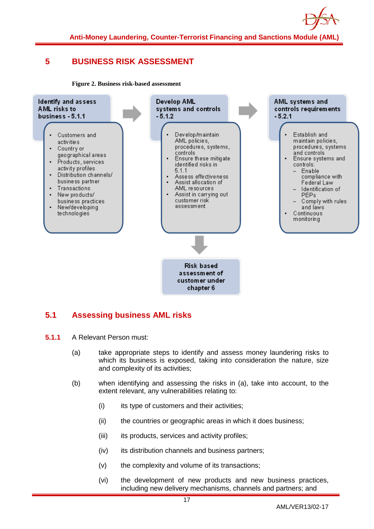

## <span id="page-17-0"></span>**5 BUSINESS RISK ASSESSMENT**

**Figure 2. Business risk-based assessment**



## <span id="page-17-1"></span>**5.1 Assessing business AML risks**

- **5.1.1** A Relevant Person must:
	- (a) take appropriate steps to identify and assess money laundering risks to which its business is exposed, taking into consideration the nature, size and complexity of its activities;
	- (b) when identifying and assessing the risks in (a), take into account, to the extent relevant, any vulnerabilities relating to:
		- (i) its type of customers and their activities;
		- (ii) the countries or geographic areas in which it does business;
		- (iii) its products, services and activity profiles;
		- (iv) its distribution channels and business partners;
		- (v) the complexity and volume of its transactions;
		- (vi) the development of new products and new business practices, including new delivery mechanisms, channels and partners; and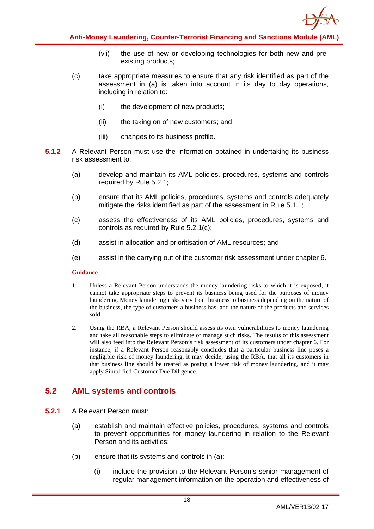

- (vii) the use of new or developing technologies for both new and preexisting products;
- (c) take appropriate measures to ensure that any risk identified as part of the assessment in (a) is taken into account in its day to day operations, including in relation to:
	- (i) the development of new products;
	- (ii) the taking on of new customers; and
	- (iii) changes to its business profile.
- **5.1.2** A Relevant Person must use the information obtained in undertaking its business risk assessment to:
	- (a) develop and maintain its AML policies, procedures, systems and controls required by Rule 5.2.1;
	- (b) ensure that its AML policies, procedures, systems and controls adequately mitigate the risks identified as part of the assessment in Rule 5.1.1;
	- (c) assess the effectiveness of its AML policies, procedures, systems and controls as required by Rule 5.2.1(c);
	- (d) assist in allocation and prioritisation of AML resources; and
	- (e) assist in the carrying out of the customer risk assessment under chapter 6.

#### **Guidance**

- 1. Unless a Relevant Person understands the money laundering risks to which it is exposed, it cannot take appropriate steps to prevent its business being used for the purposes of money laundering. Money laundering risks vary from business to business depending on the nature of the business, the type of customers a business has, and the nature of the products and services sold.
- 2. Using the RBA, a Relevant Person should assess its own vulnerabilities to money laundering and take all reasonable steps to eliminate or manage such risks. The results of this assessment will also feed into the Relevant Person's risk assessment of its customers under chapter 6. For instance, if a Relevant Person reasonably concludes that a particular business line poses a negligible risk of money laundering, it may decide, using the RBA, that all its customers in that business line should be treated as posing a lower risk of money laundering, and it may apply Simplified Customer Due Diligence.

## <span id="page-18-0"></span>**5.2 AML systems and controls**

- **5.2.1** A Relevant Person must:
	- (a) establish and maintain effective policies, procedures, systems and controls to prevent opportunities for money laundering in relation to the Relevant Person and its activities;
	- (b) ensure that its systems and controls in (a):
		- (i) include the provision to the Relevant Person's senior management of regular management information on the operation and effectiveness of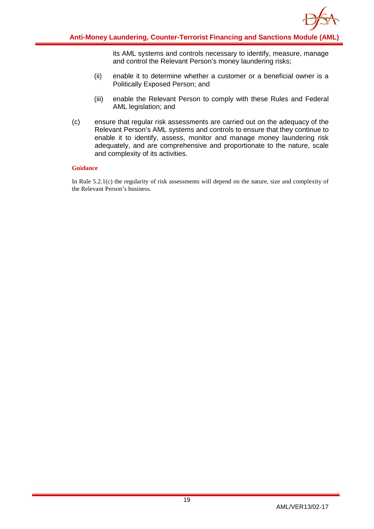

its AML systems and controls necessary to identify, measure, manage and control the Relevant Person's money laundering risks;

- (ii) enable it to determine whether a customer or a beneficial owner is a Politically Exposed Person; and
- (iii) enable the Relevant Person to comply with these Rules and Federal AML legislation; and
- (c) ensure that regular risk assessments are carried out on the adequacy of the Relevant Person's AML systems and controls to ensure that they continue to enable it to identify, assess, monitor and manage money laundering risk adequately, and are comprehensive and proportionate to the nature, scale and complexity of its activities.

#### **Guidance**

In Rule 5.2.1(c) the regularity of risk assessments will depend on the nature, size and complexity of the Relevant Person's business.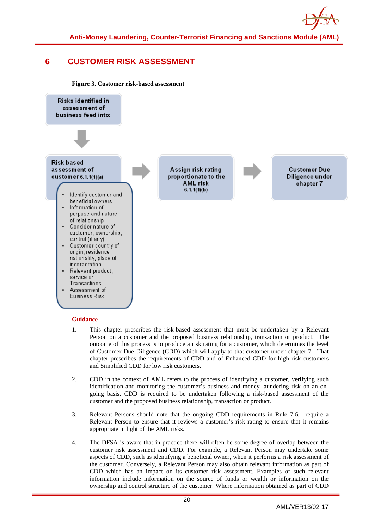

## <span id="page-20-0"></span>**6 CUSTOMER RISK ASSESSMENT**

**Figure 3. Customer risk-based assessment**



- 1. This chapter prescribes the risk-based assessment that must be undertaken by a Relevant Person on a customer and the proposed business relationship, transaction or product. The outcome of this process is to produce a risk rating for a customer, which determines the level of Customer Due Diligence (CDD) which will apply to that customer under chapter 7. That chapter prescribes the requirements of CDD and of Enhanced CDD for high risk customers and Simplified CDD for low risk customers.
- 2. CDD in the context of AML refers to the process of identifying a customer, verifying such identification and monitoring the customer's business and money laundering risk on an ongoing basis. CDD is required to be undertaken following a risk-based assessment of the customer and the proposed business relationship, transaction or product.
- 3. Relevant Persons should note that the ongoing CDD requirements in Rule 7.6.1 require a Relevant Person to ensure that it reviews a customer's risk rating to ensure that it remains appropriate in light of the AML risks.
- 4. The DFSA is aware that in practice there will often be some degree of overlap between the customer risk assessment and CDD. For example, a Relevant Person may undertake some aspects of CDD, such as identifying a beneficial owner, when it performs a risk assessment of the customer. Conversely, a Relevant Person may also obtain relevant information as part of CDD which has an impact on its customer risk assessment. Examples of such relevant information include information on the source of funds or wealth or information on the ownership and control structure of the customer. Where information obtained as part of CDD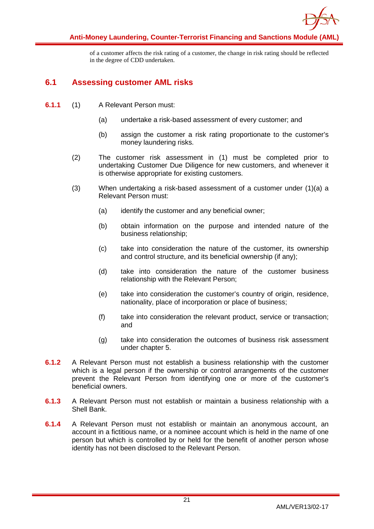

of a customer affects the risk rating of a customer, the change in risk rating should be reflected in the degree of CDD undertaken.

## <span id="page-21-0"></span>**6.1 Assessing customer AML risks**

- **6.1.1** (1) A Relevant Person must:
	- (a) undertake a risk-based assessment of every customer; and
	- (b) assign the customer a risk rating proportionate to the customer's money laundering risks.
	- (2) The customer risk assessment in (1) must be completed prior to undertaking Customer Due Diligence for new customers, and whenever it is otherwise appropriate for existing customers.
	- (3) When undertaking a risk-based assessment of a customer under (1)(a) a Relevant Person must:
		- (a) identify the customer and any beneficial owner;
		- (b) obtain information on the purpose and intended nature of the business relationship;
		- (c) take into consideration the nature of the customer, its ownership and control structure, and its beneficial ownership (if any);
		- (d) take into consideration the nature of the customer business relationship with the Relevant Person;
		- (e) take into consideration the customer's country of origin, residence, nationality, place of incorporation or place of business;
		- (f) take into consideration the relevant product, service or transaction; and
		- (g) take into consideration the outcomes of business risk assessment under chapter 5.
- **6.1.2** A Relevant Person must not establish a business relationship with the customer which is a legal person if the ownership or control arrangements of the customer prevent the Relevant Person from identifying one or more of the customer's beneficial owners.
- **6.1.3** A Relevant Person must not establish or maintain a business relationship with a Shell Bank.
- **6.1.4** A Relevant Person must not establish or maintain an anonymous account, an account in a fictitious name, or a nominee account which is held in the name of one person but which is controlled by or held for the benefit of another person whose identity has not been disclosed to the Relevant Person.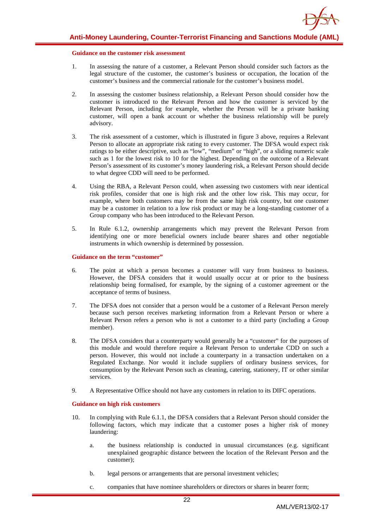

#### **Guidance on the customer risk assessment**

- 1. In assessing the nature of a customer, a Relevant Person should consider such factors as the legal structure of the customer, the customer's business or occupation, the location of the customer's business and the commercial rationale for the customer's business model.
- 2. In assessing the customer business relationship, a Relevant Person should consider how the customer is introduced to the Relevant Person and how the customer is serviced by the Relevant Person, including for example, whether the Person will be a private banking customer, will open a bank account or whether the business relationship will be purely advisory.
- 3. The risk assessment of a customer, which is illustrated in figure 3 above, requires a Relevant Person to allocate an appropriate risk rating to every customer. The DFSA would expect risk ratings to be either descriptive, such as "low", "medium" or "high", or a sliding numeric scale such as 1 for the lowest risk to 10 for the highest. Depending on the outcome of a Relevant Person's assessment of its customer's money laundering risk, a Relevant Person should decide to what degree CDD will need to be performed.
- 4. Using the RBA, a Relevant Person could, when assessing two customers with near identical risk profiles, consider that one is high risk and the other low risk. This may occur, for example, where both customers may be from the same high risk country, but one customer may be a customer in relation to a low risk product or may be a long-standing customer of a Group company who has been introduced to the Relevant Person.
- 5. In Rule 6.1.2, ownership arrangements which may prevent the Relevant Person from identifying one or more beneficial owners include bearer shares and other negotiable instruments in which ownership is determined by possession.

#### **Guidance on the term "customer"**

- 6. The point at which a person becomes a customer will vary from business to business. However, the DFSA considers that it would usually occur at or prior to the business relationship being formalised, for example, by the signing of a customer agreement or the acceptance of terms of business.
- 7. The DFSA does not consider that a person would be a customer of a Relevant Person merely because such person receives marketing information from a Relevant Person or where a Relevant Person refers a person who is not a customer to a third party (including a Group member).
- 8. The DFSA considers that a counterparty would generally be a "customer" for the purposes of this module and would therefore require a Relevant Person to undertake CDD on such a person. However, this would not include a counterparty in a transaction undertaken on a Regulated Exchange. Nor would it include suppliers of ordinary business services, for consumption by the Relevant Person such as cleaning, catering, stationery, IT or other similar services.
- 9. A Representative Office should not have any customers in relation to its DIFC operations.

#### **Guidance on high risk customers**

- 10. In complying with Rule 6.1.1, the DFSA considers that a Relevant Person should consider the following factors, which may indicate that a customer poses a higher risk of money laundering:
	- a. the business relationship is conducted in unusual circumstances (e.g. significant unexplained geographic distance between the location of the Relevant Person and the customer);
	- b. legal persons or arrangements that are personal investment vehicles;
	- c. companies that have nominee shareholders or directors or shares in bearer form;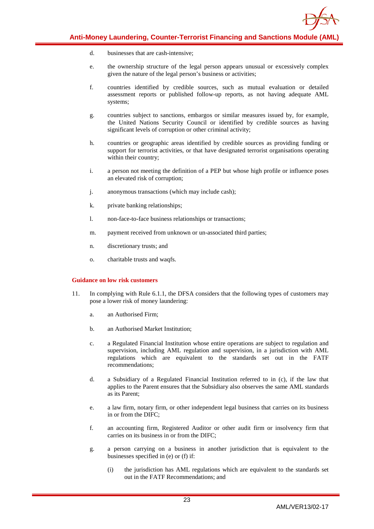

- d. businesses that are cash-intensive;
- e. the ownership structure of the legal person appears unusual or excessively complex given the nature of the legal person's business or activities;
- f. countries identified by credible sources, such as mutual evaluation or detailed assessment reports or published follow-up reports, as not having adequate AML systems;
- g. countries subject to sanctions, embargos or similar measures issued by, for example, the United Nations Security Council or identified by credible sources as having significant levels of corruption or other criminal activity;
- h. countries or geographic areas identified by credible sources as providing funding or support for terrorist activities, or that have designated terrorist organisations operating within their country;
- i. a person not meeting the definition of a PEP but whose high profile or influence poses an elevated risk of corruption;
- j. anonymous transactions (which may include cash);
- k. private banking relationships;
- l. non-face-to-face business relationships or transactions;
- m. payment received from unknown or un-associated third parties;
- n. discretionary trusts; and
- o. charitable trusts and waqfs.

#### **Guidance on low risk customers**

- 11. In complying with Rule 6.1.1, the DFSA considers that the following types of customers may pose a lower risk of money laundering:
	- a. an Authorised Firm;
	- b. an Authorised Market Institution;
	- c. a Regulated Financial Institution whose entire operations are subject to regulation and supervision, including AML regulation and supervision, in a jurisdiction with AML regulations which are equivalent to the standards set out in the FATF recommendations;
	- d. a Subsidiary of a Regulated Financial Institution referred to in (c), if the law that applies to the Parent ensures that the Subsidiary also observes the same AML standards as its Parent;
	- e. a law firm, notary firm, or other independent legal business that carries on its business in or from the DIFC;
	- f. an accounting firm, Registered Auditor or other audit firm or insolvency firm that carries on its business in or from the DIFC;
	- g. a person carrying on a business in another jurisdiction that is equivalent to the businesses specified in (e) or (f) if:
		- (i) the jurisdiction has AML regulations which are equivalent to the standards set out in the FATF Recommendations; and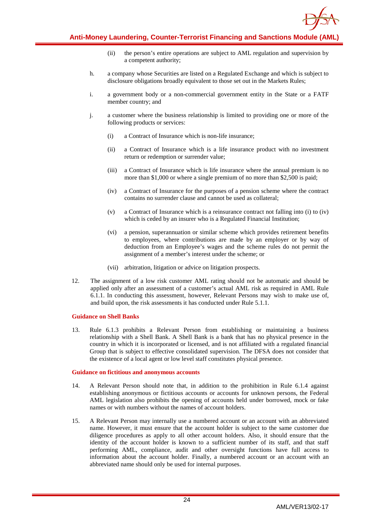

- (ii) the person's entire operations are subject to AML regulation and supervision by a competent authority;
- h. a company whose Securities are listed on a Regulated Exchange and which is subject to disclosure obligations broadly equivalent to those set out in the Markets Rules;
- i. a government body or a non-commercial government entity in the State or a FATF member country; and
- j. a customer where the business relationship is limited to providing one or more of the following products or services:
	- (i) a Contract of Insurance which is non-life insurance;
	- (ii) a Contract of Insurance which is a life insurance product with no investment return or redemption or surrender value;
	- (iii) a Contract of Insurance which is life insurance where the annual premium is no more than \$1,000 or where a single premium of no more than \$2,500 is paid;
	- (iv) a Contract of Insurance for the purposes of a pension scheme where the contract contains no surrender clause and cannot be used as collateral;
	- (v) a Contract of Insurance which is a reinsurance contract not falling into (i) to (iv) which is ceded by an insurer who is a Regulated Financial Institution;
	- (vi) a pension, superannuation or similar scheme which provides retirement benefits to employees, where contributions are made by an employer or by way of deduction from an Employee's wages and the scheme rules do not permit the assignment of a member's interest under the scheme; or
	- (vii) arbitration, litigation or advice on litigation prospects.
- 12. The assignment of a low risk customer AML rating should not be automatic and should be applied only after an assessment of a customer's actual AML risk as required in AML Rule 6.1.1. In conducting this assessment, however, Relevant Persons may wish to make use of, and build upon, the risk assessments it has conducted under Rule 5.1.1.

#### **Guidance on Shell Banks**

13. Rule 6.1.3 prohibits a Relevant Person from establishing or maintaining a business relationship with a Shell Bank. A Shell Bank is a bank that has no physical presence in the country in which it is incorporated or licensed, and is not affiliated with a regulated financial Group that is subject to effective consolidated supervision. The DFSA does not consider that the existence of a local agent or low level staff constitutes physical presence.

#### **Guidance on fictitious and anonymous accounts**

- 14. A Relevant Person should note that, in addition to the prohibition in Rule 6.1.4 against establishing anonymous or fictitious accounts or accounts for unknown persons, the Federal AML legislation also prohibits the opening of accounts held under borrowed, mock or fake names or with numbers without the names of account holders.
- 15. A Relevant Person may internally use a numbered account or an account with an abbreviated name. However, it must ensure that the account holder is subject to the same customer due diligence procedures as apply to all other account holders. Also, it should ensure that the identity of the account holder is known to a sufficient number of its staff, and that staff performing AML, compliance, audit and other oversight functions have full access to information about the account holder. Finally, a numbered account or an account with an abbreviated name should only be used for internal purposes.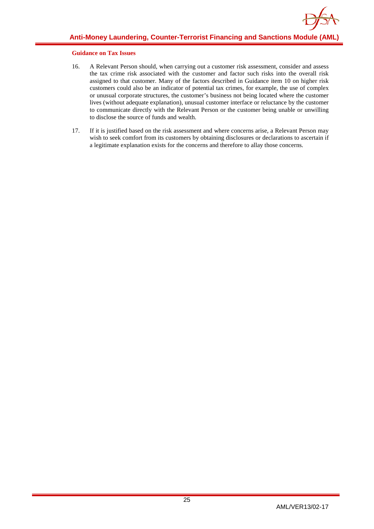#### **Guidance on Tax Issues**

- 16. A Relevant Person should, when carrying out a customer risk assessment, consider and assess the tax crime risk associated with the customer and factor such risks into the overall risk assigned to that customer. Many of the factors described in Guidance item 10 on higher risk customers could also be an indicator of potential tax crimes, for example, the use of complex or unusual corporate structures, the customer's business not being located where the customer lives (without adequate explanation), unusual customer interface or reluctance by the customer to communicate directly with the Relevant Person or the customer being unable or unwilling to disclose the source of funds and wealth.
- 17. If it is justified based on the risk assessment and where concerns arise, a Relevant Person may wish to seek comfort from its customers by obtaining disclosures or declarations to ascertain if a legitimate explanation exists for the concerns and therefore to allay those concerns.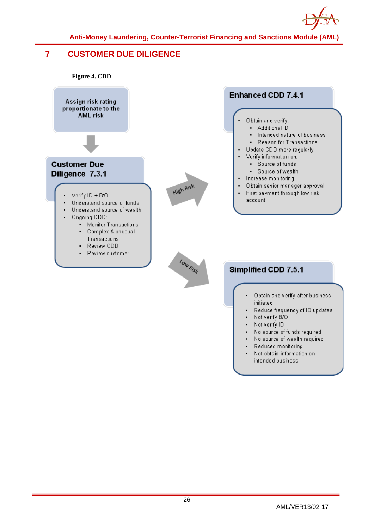

## <span id="page-26-0"></span>**7 CUSTOMER DUE DILIGENCE**

**Figure 4. CDD**



- Obtain and verify after business *initiated*
- Reduce frequency of ID updates
- Not verify B/O ×.
- c. Not verify ID
- No source of funds required  $\mathbf{r}$  .
- . No source of wealth required
- ä. Reduced monitoring
- Not obtain information on  $\blacksquare$ intended business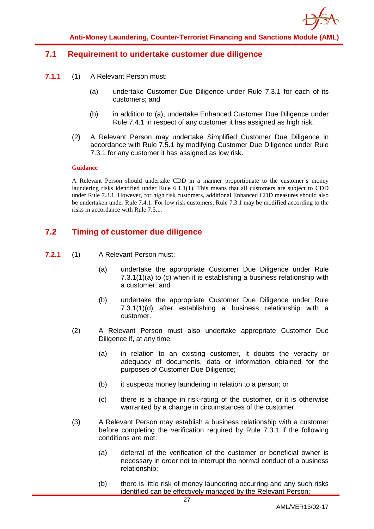

## <span id="page-27-0"></span>**7.1 Requirement to undertake customer due diligence**

- **7.1.1** (1) A Relevant Person must:
	- (a) undertake Customer Due Diligence under Rule 7.3.1 for each of its customers; and
	- (b) in addition to (a), undertake Enhanced Customer Due Diligence under Rule 7.4.1 in respect of any customer it has assigned as high risk.
	- (2) A Relevant Person may undertake Simplified Customer Due Diligence in accordance with Rule 7.5.1 by modifying Customer Due Diligence under Rule 7.3.1 for any customer it has assigned as low risk.

#### **Guidance**

A Relevant Person should undertake CDD in a manner proportionate to the customer's money laundering risks identified under Rule 6.1.1(1). This means that all customers are subject to CDD under Rule 7.3.1. However, for high risk customers, additional Enhanced CDD measures should also be undertaken under Rule 7.4.1. For low risk customers, Rule 7.3.1 may be modified according to the risks in accordance with Rule 7.5.1.

## <span id="page-27-1"></span>**7.2 Timing of customer due diligence**

- **7.2.1** (1) A Relevant Person must:
	- (a) undertake the appropriate Customer Due Diligence under Rule 7.3.1(1)(a) to (c) when it is establishing a business relationship with a customer; and
	- (b) undertake the appropriate Customer Due Diligence under Rule 7.3.1(1)(d) after establishing a business relationship with a customer.
	- (2) A Relevant Person must also undertake appropriate Customer Due Diligence if, at any time:
		- (a) in relation to an existing customer, it doubts the veracity or adequacy of documents, data or information obtained for the purposes of Customer Due Diligence;
		- (b) it suspects money laundering in relation to a person; or
		- (c) there is a change in risk-rating of the customer, or it is otherwise warranted by a change in circumstances of the customer.
	- (3) A Relevant Person may establish a business relationship with a customer before completing the verification required by Rule 7.3.1 if the following conditions are met:
		- (a) deferral of the verification of the customer or beneficial owner is necessary in order not to interrupt the normal conduct of a business relationship;
		- (b) there is little risk of money laundering occurring and any such risks identified can be effectively managed by the Relevant Person;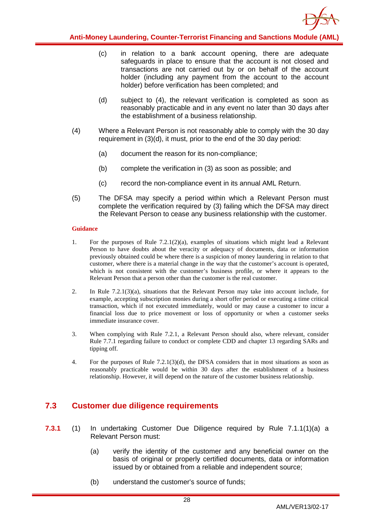

- (c) in relation to a bank account opening, there are adequate safeguards in place to ensure that the account is not closed and transactions are not carried out by or on behalf of the account holder (including any payment from the account to the account holder) before verification has been completed; and
- (d) subject to (4), the relevant verification is completed as soon as reasonably practicable and in any event no later than 30 days after the establishment of a business relationship.
- (4) Where a Relevant Person is not reasonably able to comply with the 30 day requirement in (3)(d), it must, prior to the end of the 30 day period:
	- (a) document the reason for its non-compliance;
	- (b) complete the verification in (3) as soon as possible; and
	- (c) record the non-compliance event in its annual AML Return.
- (5) The DFSA may specify a period within which a Relevant Person must complete the verification required by (3) failing which the DFSA may direct the Relevant Person to cease any business relationship with the customer.

#### **Guidance**

- 1. For the purposes of Rule 7.2.1(2)(a), examples of situations which might lead a Relevant Person to have doubts about the veracity or adequacy of documents, data or information previously obtained could be where there is a suspicion of money laundering in relation to that customer, where there is a material change in the way that the customer's account is operated, which is not consistent with the customer's business profile, or where it appears to the Relevant Person that a person other than the customer is the real customer.
- 2. In Rule 7.2.1(3)(a), situations that the Relevant Person may take into account include, for example, accepting subscription monies during a short offer period or executing a time critical transaction, which if not executed immediately, would or may cause a customer to incur a financial loss due to price movement or loss of opportunity or when a customer seeks immediate insurance cover.
- 3. When complying with Rule 7.2.1, a Relevant Person should also, where relevant, consider Rule 7.7.1 regarding failure to conduct or complete CDD and chapter 13 regarding SARs and tipping off.
- 4. For the purposes of Rule 7.2.1(3)(d), the DFSA considers that in most situations as soon as reasonably practicable would be within 30 days after the establishment of a business relationship. However, it will depend on the nature of the customer business relationship.

## <span id="page-28-0"></span>**7.3 Customer due diligence requirements**

- **7.3.1** (1) In undertaking Customer Due Diligence required by Rule 7.1.1(1)(a) a Relevant Person must:
	- (a) verify the identity of the customer and any beneficial owner on the basis of original or properly certified documents, data or information issued by or obtained from a reliable and independent source;
	- (b) understand the customer's source of funds;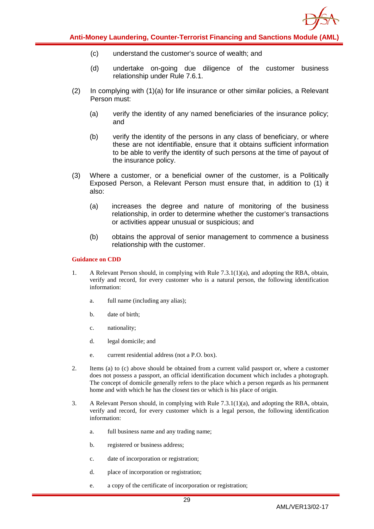

- (c) understand the customer's source of wealth; and
- (d) undertake on-going due diligence of the customer business relationship under Rule 7.6.1.
- (2) In complying with (1)(a) for life insurance or other similar policies, a Relevant Person must:
	- (a) verify the identity of any named beneficiaries of the insurance policy; and
	- (b) verify the identity of the persons in any class of beneficiary, or where these are not identifiable, ensure that it obtains sufficient information to be able to verify the identity of such persons at the time of payout of the insurance policy.
- (3) Where a customer, or a beneficial owner of the customer, is a Politically Exposed Person, a Relevant Person must ensure that, in addition to (1) it also:
	- (a) increases the degree and nature of monitoring of the business relationship, in order to determine whether the customer's transactions or activities appear unusual or suspicious; and
	- (b) obtains the approval of senior management to commence a business relationship with the customer.

#### **Guidance on CDD**

- 1. A Relevant Person should, in complying with Rule 7.3.1(1)(a), and adopting the RBA, obtain, verify and record, for every customer who is a natural person, the following identification information:
	- a. full name (including any alias);
	- b. date of birth;
	- c. nationality;
	- d. legal domicile; and
	- e. current residential address (not a P.O. box).
- 2. Items (a) to (c) above should be obtained from a current valid passport or, where a customer does not possess a passport, an official identification document which includes a photograph. The concept of domicile generally refers to the place which a person regards as his permanent home and with which he has the closest ties or which is his place of origin.
- 3. A Relevant Person should, in complying with Rule 7.3.1(1)(a), and adopting the RBA, obtain, verify and record, for every customer which is a legal person, the following identification information:
	- a. full business name and any trading name;
	- b. registered or business address;
	- c. date of incorporation or registration;
	- d. place of incorporation or registration;
	- e. a copy of the certificate of incorporation or registration;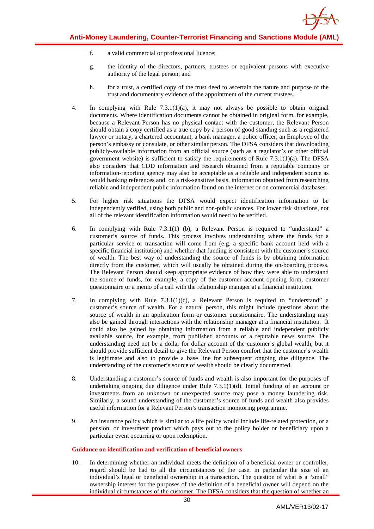- f. a valid commercial or professional licence;
- g. the identity of the directors, partners, trustees or equivalent persons with executive authority of the legal person; and
- h. for a trust, a certified copy of the trust deed to ascertain the nature and purpose of the trust and documentary evidence of the appointment of the current trustees.
- 4. In complying with Rule 7.3.1(1)(a), it may not always be possible to obtain original documents. Where identification documents cannot be obtained in original form, for example, because a Relevant Person has no physical contact with the customer, the Relevant Person should obtain a copy certified as a true copy by a person of good standing such as a registered lawyer or notary, a chartered accountant, a bank manager, a police officer, an Employee of the person's embassy or consulate, or other similar person. The DFSA considers that downloading publicly-available information from an official source (such as a regulator's or other official government website) is sufficient to satisfy the requirements of Rule  $7.3.1(1)(a)$ . The DFSA also considers that CDD information and research obtained from a reputable company or information-reporting agency may also be acceptable as a reliable and independent source as would banking references and, on a risk-sensitive basis, information obtained from researching reliable and independent public information found on the internet or on commercial databases.
- 5. For higher risk situations the DFSA would expect identification information to be independently verified, using both public and non-public sources. For lower risk situations, not all of the relevant identification information would need to be verified.
- 6. In complying with Rule 7.3.1(1) (b), a Relevant Person is required to "understand" a customer's source of funds. This process involves understanding where the funds for a particular service or transaction will come from (e.g. a specific bank account held with a specific financial institution) and whether that funding is consistent with the customer's source of wealth. The best way of understanding the source of funds is by obtaining information directly from the customer, which will usually be obtained during the on-boarding process. The Relevant Person should keep appropriate evidence of how they were able to understand the source of funds, for example, a copy of the customer account opening form, customer questionnaire or a memo of a call with the relationship manager at a financial institution.
- 7. In complying with Rule 7.3.1(1)(c), a Relevant Person is required to "understand" a customer's source of wealth. For a natural person, this might include questions about the source of wealth in an application form or customer questionnaire. The understanding may also be gained through interactions with the relationship manager at a financial institution. It could also be gained by obtaining information from a reliable and independent publicly available source, for example, from published accounts or a reputable news source. The understanding need not be a dollar for dollar account of the customer's global wealth, but it should provide sufficient detail to give the Relevant Person comfort that the customer's wealth is legitimate and also to provide a base line for subsequent ongoing due diligence. The understanding of the customer's source of wealth should be clearly documented.
- 8. Understanding a customer's source of funds and wealth is also important for the purposes of undertaking ongoing due diligence under Rule 7.3.1(1)(d). Initial funding of an account or investments from an unknown or unexpected source may pose a money laundering risk. Similarly, a sound understanding of the customer's source of funds and wealth also provides useful information for a Relevant Person's transaction monitoring programme.
- 9. An insurance policy which is similar to a life policy would include life-related protection, or a pension, or investment product which pays out to the policy holder or beneficiary upon a particular event occurring or upon redemption.

#### **Guidance on identification and verification of beneficial owners**

10. In determining whether an individual meets the definition of a beneficial owner or controller, regard should be had to all the circumstances of the case, in particular the size of an individual's legal or beneficial ownership in a transaction. The question of what is a "small" ownership interest for the purposes of the definition of a beneficial owner will depend on the individual circumstances of the customer. The DFSA considers that the question of whether an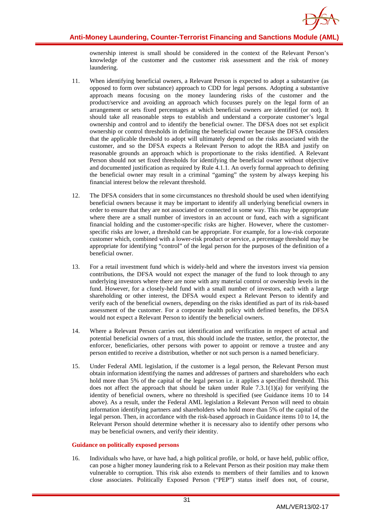

ownership interest is small should be considered in the context of the Relevant Person's knowledge of the customer and the customer risk assessment and the risk of money laundering.

- 11. When identifying beneficial owners, a Relevant Person is expected to adopt a substantive (as opposed to form over substance) approach to CDD for legal persons. Adopting a substantive approach means focusing on the money laundering risks of the customer and the product/service and avoiding an approach which focusses purely on the legal form of an arrangement or sets fixed percentages at which beneficial owners are identified (or not). It should take all reasonable steps to establish and understand a corporate customer's legal ownership and control and to identify the beneficial owner. The DFSA does not set explicit ownership or control thresholds in defining the beneficial owner because the DFSA considers that the applicable threshold to adopt will ultimately depend on the risks associated with the customer, and so the DFSA expects a Relevant Person to adopt the RBA and justify on reasonable grounds an approach which is proportionate to the risks identified. A Relevant Person should not set fixed thresholds for identifying the beneficial owner without objective and documented justification as required by Rule 4.1.1. An overly formal approach to defining the beneficial owner may result in a criminal "gaming" the system by always keeping his financial interest below the relevant threshold.
- 12. The DFSA considers that in some circumstances no threshold should be used when identifying beneficial owners because it may be important to identify all underlying beneficial owners in order to ensure that they are not associated or connected in some way. This may be appropriate where there are a small number of investors in an account or fund, each with a significant financial holding and the customer-specific risks are higher. However, where the customerspecific risks are lower, a threshold can be appropriate. For example, for a low-risk corporate customer which, combined with a lower-risk product or service, a percentage threshold may be appropriate for identifying "control" of the legal person for the purposes of the definition of a beneficial owner.
- 13. For a retail investment fund which is widely-held and where the investors invest via pension contributions, the DFSA would not expect the manager of the fund to look through to any underlying investors where there are none with any material control or ownership levels in the fund. However, for a closely-held fund with a small number of investors, each with a large shareholding or other interest, the DFSA would expect a Relevant Person to identify and verify each of the beneficial owners, depending on the risks identified as part of its risk-based assessment of the customer. For a corporate health policy with defined benefits, the DFSA would not expect a Relevant Person to identify the beneficial owners.
- 14. Where a Relevant Person carries out identification and verification in respect of actual and potential beneficial owners of a trust, this should include the trustee, settlor, the protector, the enforcer, beneficiaries, other persons with power to appoint or remove a trustee and any person entitled to receive a distribution, whether or not such person is a named beneficiary.
- 15. Under Federal AML legislation, if the customer is a legal person, the Relevant Person must obtain information identifying the names and addresses of partners and shareholders who each hold more than 5% of the capital of the legal person i.e. it applies a specified threshold. This does not affect the approach that should be taken under Rule 7.3.1(1)(a) for verifying the identity of beneficial owners, where no threshold is specified (see Guidance items 10 to 14 above). As a result, under the Federal AML legislation a Relevant Person will need to obtain information identifying partners and shareholders who hold more than 5% of the capital of the legal person. Then, in accordance with the risk-based approach in Guidance items 10 to 14, the Relevant Person should determine whether it is necessary also to identify other persons who may be beneficial owners, and verify their identity.

#### **Guidance on politically exposed persons**

16. Individuals who have, or have had, a high political profile, or hold, or have held, public office, can pose a higher money laundering risk to a Relevant Person as their position may make them vulnerable to corruption. This risk also extends to members of their families and to known close associates. Politically Exposed Person ("PEP") status itself does not, of course,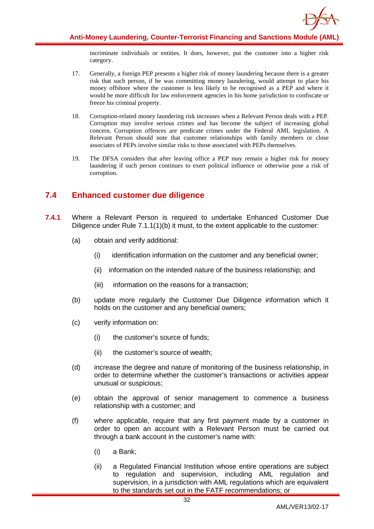

incriminate individuals or entities. It does, however, put the customer into a higher risk category.

- 17. Generally, a foreign PEP presents a higher risk of money laundering because there is a greater risk that such person, if he was committing money laundering, would attempt to place his money offshore where the customer is less likely to be recognised as a PEP and where it would be more difficult for law enforcement agencies in his home jurisdiction to confiscate or freeze his criminal property.
- 18. Corruption-related money laundering risk increases when a Relevant Person deals with a PEP. Corruption may involve serious crimes and has become the subject of increasing global concern. Corruption offences are predicate crimes under the Federal AML legislation. A Relevant Person should note that customer relationships with family members or close associates of PEPs involve similar risks to those associated with PEPs themselves.
- 19. The DFSA considers that after leaving office a PEP may remain a higher risk for money laundering if such person continues to exert political influence or otherwise pose a risk of corruption.

## <span id="page-32-0"></span>**7.4 Enhanced customer due diligence**

- **7.4.1** Where a Relevant Person is required to undertake Enhanced Customer Due Diligence under Rule 7.1.1(1)(b) it must, to the extent applicable to the customer:
	- (a) obtain and verify additional:
		- (i) identification information on the customer and any beneficial owner;
		- (ii) information on the intended nature of the business relationship; and
		- (iii) information on the reasons for a transaction;
	- (b) update more regularly the Customer Due Diligence information which it holds on the customer and any beneficial owners;
	- (c) verify information on:
		- (i) the customer's source of funds;
		- (ii) the customer's source of wealth;
	- (d) increase the degree and nature of monitoring of the business relationship, in order to determine whether the customer's transactions or activities appear unusual or suspicious;
	- (e) obtain the approval of senior management to commence a business relationship with a customer; and
	- (f) where applicable, require that any first payment made by a customer in order to open an account with a Relevant Person must be carried out through a bank account in the customer's name with:
		- (i) a Bank;
		- (ii) a Regulated Financial Institution whose entire operations are subject to regulation and supervision, including AML regulation and supervision, in a jurisdiction with AML regulations which are equivalent to the standards set out in the FATF recommendations; or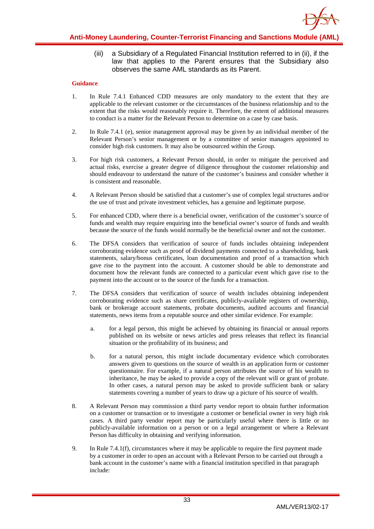

(iii) a Subsidiary of a Regulated Financial Institution referred to in (ii), if the law that applies to the Parent ensures that the Subsidiary also observes the same AML standards as its Parent.

- 1. In Rule 7.4.1 Enhanced CDD measures are only mandatory to the extent that they are applicable to the relevant customer or the circumstances of the business relationship and to the extent that the risks would reasonably require it. Therefore, the extent of additional measures to conduct is a matter for the Relevant Person to determine on a case by case basis.
- 2. In Rule 7.4.1 (e), senior management approval may be given by an individual member of the Relevant Person's senior management or by a committee of senior managers appointed to consider high risk customers. It may also be outsourced within the Group.
- 3. For high risk customers, a Relevant Person should, in order to mitigate the perceived and actual risks, exercise a greater degree of diligence throughout the customer relationship and should endeavour to understand the nature of the customer's business and consider whether it is consistent and reasonable.
- 4. A Relevant Person should be satisfied that a customer's use of complex legal structures and/or the use of trust and private investment vehicles, has a genuine and legitimate purpose.
- 5. For enhanced CDD, where there is a beneficial owner, verification of the customer's source of funds and wealth may require enquiring into the beneficial owner's source of funds and wealth because the source of the funds would normally be the beneficial owner and not the customer.
- 6. The DFSA considers that verification of source of funds includes obtaining independent corroborating evidence such as proof of dividend payments connected to a shareholding, bank statements, salary/bonus certificates, loan documentation and proof of a transaction which gave rise to the payment into the account. A customer should be able to demonstrate and document how the relevant funds are connected to a particular event which gave rise to the payment into the account or to the source of the funds for a transaction.
- 7. The DFSA considers that verification of source of wealth includes obtaining independent corroborating evidence such as share certificates, publicly-available registers of ownership, bank or brokerage account statements, probate documents, audited accounts and financial statements, news items from a reputable source and other similar evidence. For example:
	- a. for a legal person, this might be achieved by obtaining its financial or annual reports published on its website or news articles and press releases that reflect its financial situation or the profitability of its business; and
	- b. for a natural person, this might include documentary evidence which corroborates answers given to questions on the source of wealth in an application form or customer questionnaire. For example, if a natural person attributes the source of his wealth to inheritance, he may be asked to provide a copy of the relevant will or grant of probate. In other cases, a natural person may be asked to provide sufficient bank or salary statements covering a number of years to draw up a picture of his source of wealth.
- 8. A Relevant Person may commission a third party vendor report to obtain further information on a customer or transaction or to investigate a customer or beneficial owner in very high risk cases. A third party vendor report may be particularly useful where there is little or no publicly-available information on a person or on a legal arrangement or where a Relevant Person has difficulty in obtaining and verifying information.
- 9. In Rule 7.4.1(f), circumstances where it may be applicable to require the first payment made by a customer in order to open an account with a Relevant Person to be carried out through a bank account in the customer's name with a financial institution specified in that paragraph include: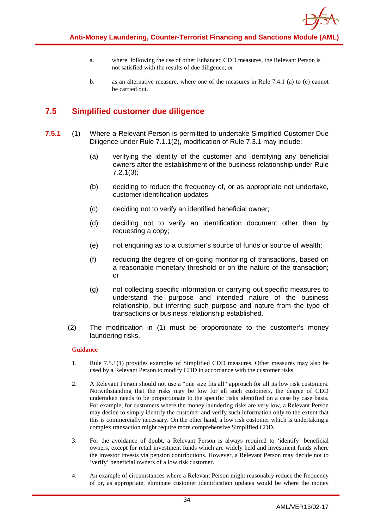- a. where, following the use of other Enhanced CDD measures, the Relevant Person is not satisfied with the results of due diligence; or
- b. as an alternative measure, where one of the measures in Rule 7.4.1 (a) to (e) cannot be carried out.

## <span id="page-34-0"></span>**7.5 Simplified customer due diligence**

- **7.5.1** (1) Where a Relevant Person is permitted to undertake Simplified Customer Due Diligence under Rule 7.1.1(2), modification of Rule 7.3.1 may include:
	- (a) verifying the identity of the customer and identifying any beneficial owners after the establishment of the business relationship under Rule 7.2.1(3);
	- (b) deciding to reduce the frequency of, or as appropriate not undertake, customer identification updates;
	- (c) deciding not to verify an identified beneficial owner;
	- (d) deciding not to verify an identification document other than by requesting a copy;
	- (e) not enquiring as to a customer's source of funds or source of wealth;
	- (f) reducing the degree of on-going monitoring of transactions, based on a reasonable monetary threshold or on the nature of the transaction; or
	- (g) not collecting specific information or carrying out specific measures to understand the purpose and intended nature of the business relationship, but inferring such purpose and nature from the type of transactions or business relationship established.
	- (2) The modification in (1) must be proportionate to the customer's money laundering risks.

- 1. Rule 7.5.1(1) provides examples of Simplified CDD measures. Other measures may also be used by a Relevant Person to modify CDD in accordance with the customer risks.
- 2. A Relevant Person should not use a "one size fits all" approach for all its low risk customers. Notwithstanding that the risks may be low for all such customers, the degree of CDD undertaken needs to be proportionate to the specific risks identified on a case by case basis. For example, for customers where the money laundering risks are very low, a Relevant Person may decide to simply identify the customer and verify such information only to the extent that this is commercially necessary. On the other hand, a low risk customer which is undertaking a complex transaction might require more comprehensive Simplified CDD.
- 3. For the avoidance of doubt, a Relevant Person is always required to 'identify' beneficial owners, except for retail investment funds which are widely held and investment funds where the investor invests via pension contributions. However, a Relevant Person may decide not to 'verify' beneficial owners of a low risk customer.
- 4. An example of circumstances where a Relevant Person might reasonably reduce the frequency of or, as appropriate, eliminate customer identification updates would be where the money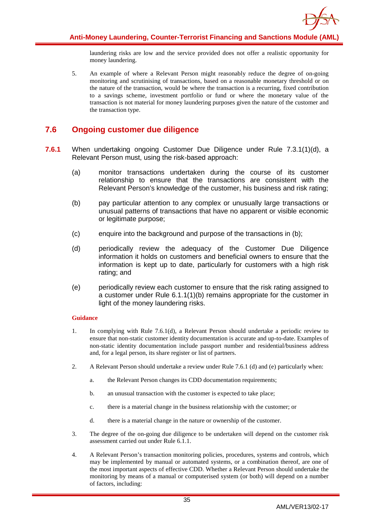

laundering risks are low and the service provided does not offer a realistic opportunity for money laundering.

5. An example of where a Relevant Person might reasonably reduce the degree of on-going monitoring and scrutinising of transactions, based on a reasonable monetary threshold or on the nature of the transaction, would be where the transaction is a recurring, fixed contribution to a savings scheme, investment portfolio or fund or where the monetary value of the transaction is not material for money laundering purposes given the nature of the customer and the transaction type.

## <span id="page-35-0"></span>**7.6 Ongoing customer due diligence**

- **7.6.1** When undertaking ongoing Customer Due Diligence under Rule 7.3.1(1)(d), a Relevant Person must, using the risk-based approach:
	- (a) monitor transactions undertaken during the course of its customer relationship to ensure that the transactions are consistent with the Relevant Person's knowledge of the customer, his business and risk rating;
	- (b) pay particular attention to any complex or unusually large transactions or unusual patterns of transactions that have no apparent or visible economic or legitimate purpose;
	- (c) enquire into the background and purpose of the transactions in (b);
	- (d) periodically review the adequacy of the Customer Due Diligence information it holds on customers and beneficial owners to ensure that the information is kept up to date, particularly for customers with a high risk rating; and
	- (e) periodically review each customer to ensure that the risk rating assigned to a customer under Rule 6.1.1(1)(b) remains appropriate for the customer in light of the money laundering risks.

- 1. In complying with Rule 7.6.1(d), a Relevant Person should undertake a periodic review to ensure that non-static customer identity documentation is accurate and up-to-date. Examples of non-static identity documentation include passport number and residential/business address and, for a legal person, its share register or list of partners.
- 2. A Relevant Person should undertake a review under Rule 7.6.1 (d) and (e) particularly when:
	- a. the Relevant Person changes its CDD documentation requirements;
	- b. an unusual transaction with the customer is expected to take place;
	- c. there is a material change in the business relationship with the customer; or
	- d. there is a material change in the nature or ownership of the customer.
- 3. The degree of the on-going due diligence to be undertaken will depend on the customer risk assessment carried out under Rule 6.1.1.
- 4. A Relevant Person's transaction monitoring policies, procedures, systems and controls, which may be implemented by manual or automated systems, or a combination thereof, are one of the most important aspects of effective CDD. Whether a Relevant Person should undertake the monitoring by means of a manual or computerised system (or both) will depend on a number of factors, including: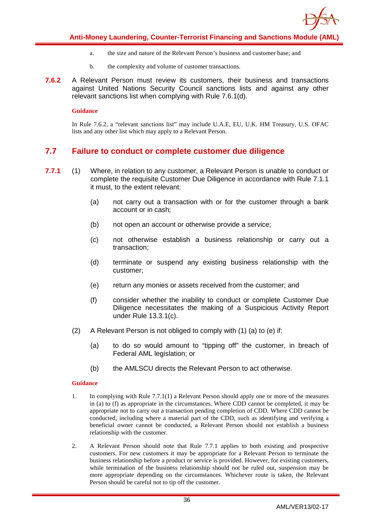

- a. the size and nature of the Relevant Person's business and customer base; and
- b. the complexity and volume of customer transactions.
- **7.6.2** A Relevant Person must review its customers, their business and transactions against United Nations Security Council sanctions lists and against any other relevant sanctions list when complying with Rule 7.6.1(d).

#### **Guidance**

In Rule 7.6.2, a "relevant sanctions list" may include U.A.E, EU, U.K. HM Treasury, U.S. OFAC lists and any other list which may apply to a Relevant Person.

## <span id="page-36-0"></span>**7.7 Failure to conduct or complete customer due diligence**

- **7.7.1** (1) Where, in relation to any customer, a Relevant Person is unable to conduct or complete the requisite Customer Due Diligence in accordance with Rule 7.1.1 it must, to the extent relevant:
	- (a) not carry out a transaction with or for the customer through a bank account or in cash;
	- (b) not open an account or otherwise provide a service;
	- (c) not otherwise establish a business relationship or carry out a transaction;
	- (d) terminate or suspend any existing business relationship with the customer;
	- (e) return any monies or assets received from the customer; and
	- (f) consider whether the inability to conduct or complete Customer Due Diligence necessitates the making of a Suspicious Activity Report under Rule 13.3.1(c).
	- (2) A Relevant Person is not obliged to comply with (1) (a) to (e) if:
		- (a) to do so would amount to "tipping off" the customer, in breach of Federal AML legislation; or
		- (b) the AMLSCU directs the Relevant Person to act otherwise.

- 1. In complying with Rule 7.7.1(1) a Relevant Person should apply one or more of the measures in (a) to (f) as appropriate in the circumstances. Where CDD cannot be completed, it may be appropriate not to carry out a transaction pending completion of CDD. Where CDD cannot be conducted, including where a material part of the CDD, such as identifying and verifying a beneficial owner cannot be conducted, a Relevant Person should not establish a business relationship with the customer.
- 2. A Relevant Person should note that Rule 7.7.1 applies to both existing and prospective customers. For new customers it may be appropriate for a Relevant Person to terminate the business relationship before a product or service is provided. However, for existing customers, while termination of the business relationship should not be ruled out, suspension may be more appropriate depending on the circumstances. Whichever route is taken, the Relevant Person should be careful not to tip off the customer.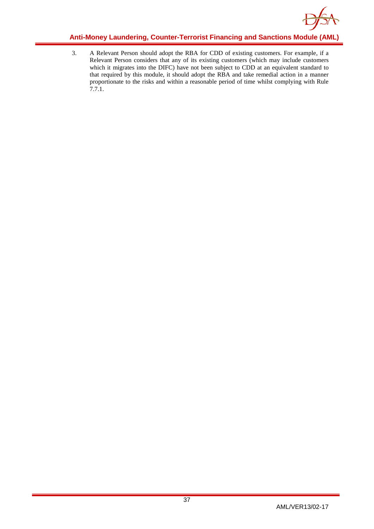

3. A Relevant Person should adopt the RBA for CDD of existing customers. For example, if a Relevant Person considers that any of its existing customers (which may include customers which it migrates into the DIFC) have not been subject to CDD at an equivalent standard to that required by this module, it should adopt the RBA and take remedial action in a manner proportionate to the risks and within a reasonable period of time whilst complying with Rule 7.7.1.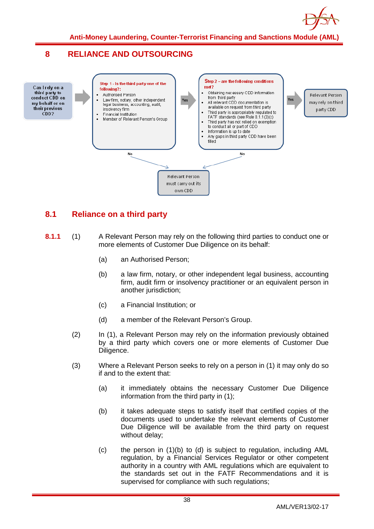

## <span id="page-38-0"></span>**8 RELIANCE AND OUTSOURCING**



## <span id="page-38-1"></span>**8.1 Reliance on a third party**

- **8.1.1** (1) A Relevant Person may rely on the following third parties to conduct one or more elements of Customer Due Diligence on its behalf:
	- (a) an Authorised Person;
	- (b) a law firm, notary, or other independent legal business, accounting firm, audit firm or insolvency practitioner or an equivalent person in another jurisdiction;
	- (c) a Financial Institution; or
	- (d) a member of the Relevant Person's Group.
	- (2) In (1), a Relevant Person may rely on the information previously obtained by a third party which covers one or more elements of Customer Due Diligence.
	- (3) Where a Relevant Person seeks to rely on a person in (1) it may only do so if and to the extent that:
		- (a) it immediately obtains the necessary Customer Due Diligence information from the third party in (1);
		- (b) it takes adequate steps to satisfy itself that certified copies of the documents used to undertake the relevant elements of Customer Due Diligence will be available from the third party on request without delay;
		- (c) the person in (1)(b) to (d) is subject to regulation, including AML regulation, by a Financial Services Regulator or other competent authority in a country with AML regulations which are equivalent to the standards set out in the FATF Recommendations and it is supervised for compliance with such regulations;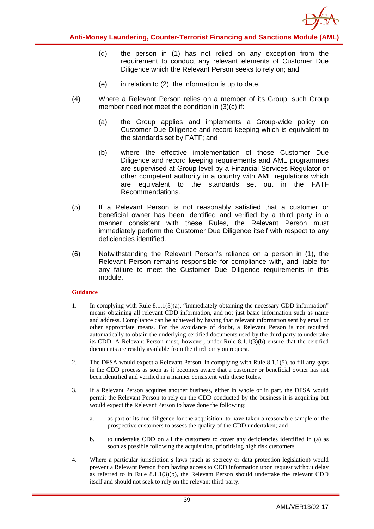

- (d) the person in (1) has not relied on any exception from the requirement to conduct any relevant elements of Customer Due Diligence which the Relevant Person seeks to rely on; and
- $(e)$  in relation to  $(2)$ , the information is up to date.
- (4) Where a Relevant Person relies on a member of its Group, such Group member need not meet the condition in (3)(c) if:
	- (a) the Group applies and implements a Group-wide policy on Customer Due Diligence and record keeping which is equivalent to the standards set by FATF; and
	- (b) where the effective implementation of those Customer Due Diligence and record keeping requirements and AML programmes are supervised at Group level by a Financial Services Regulator or other competent authority in a country with AML regulations which are equivalent to the standards set out in the FATF Recommendations.
- (5) If a Relevant Person is not reasonably satisfied that a customer or beneficial owner has been identified and verified by a third party in a manner consistent with these Rules, the Relevant Person must immediately perform the Customer Due Diligence itself with respect to any deficiencies identified.
- (6) Notwithstanding the Relevant Person's reliance on a person in (1), the Relevant Person remains responsible for compliance with, and liable for any failure to meet the Customer Due Diligence requirements in this module.

- 1. In complying with Rule 8.1.1(3)(a), "immediately obtaining the necessary CDD information" means obtaining all relevant CDD information, and not just basic information such as name and address. Compliance can be achieved by having that relevant information sent by email or other appropriate means. For the avoidance of doubt, a Relevant Person is not required automatically to obtain the underlying certified documents used by the third party to undertake its CDD. A Relevant Person must, however, under Rule 8.1.1(3)(b) ensure that the certified documents are readily available from the third party on request.
- 2. The DFSA would expect a Relevant Person, in complying with Rule 8.1.1(5), to fill any gaps in the CDD process as soon as it becomes aware that a customer or beneficial owner has not been identified and verified in a manner consistent with these Rules.
- 3. If a Relevant Person acquires another business, either in whole or in part, the DFSA would permit the Relevant Person to rely on the CDD conducted by the business it is acquiring but would expect the Relevant Person to have done the following:
	- a. as part of its due diligence for the acquisition, to have taken a reasonable sample of the prospective customers to assess the quality of the CDD undertaken; and
	- b. to undertake CDD on all the customers to cover any deficiencies identified in (a) as soon as possible following the acquisition, prioritising high risk customers.
- 4. Where a particular jurisdiction's laws (such as secrecy or data protection legislation) would prevent a Relevant Person from having access to CDD information upon request without delay as referred to in Rule 8.1.1(3)(b), the Relevant Person should undertake the relevant CDD itself and should not seek to rely on the relevant third party.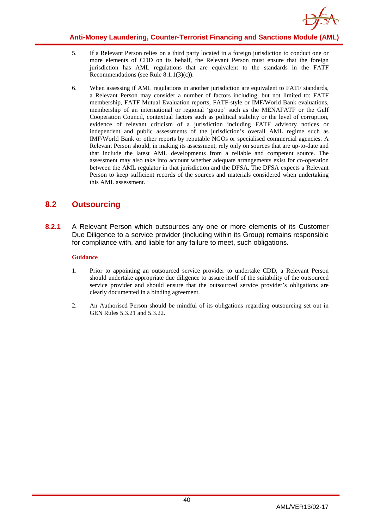

- 5. If a Relevant Person relies on a third party located in a foreign jurisdiction to conduct one or more elements of CDD on its behalf, the Relevant Person must ensure that the foreign jurisdiction has AML regulations that are equivalent to the standards in the FATF Recommendations (see Rule 8.1.1(3)(c)).
- 6. When assessing if AML regulations in another jurisdiction are equivalent to FATF standards, a Relevant Person may consider a number of factors including, but not limited to: FATF membership, FATF Mutual Evaluation reports, FATF-style or IMF/World Bank evaluations, membership of an international or regional 'group' such as the MENAFATF or the Gulf Cooperation Council, contextual factors such as political stability or the level of corruption, evidence of relevant criticism of a jurisdiction including FATF advisory notices or independent and public assessments of the jurisdiction's overall AML regime such as IMF/World Bank or other reports by reputable NGOs or specialised commercial agencies. A Relevant Person should, in making its assessment, rely only on sources that are up-to-date and that include the latest AML developments from a reliable and competent source. The assessment may also take into account whether adequate arrangements exist for co-operation between the AML regulator in that jurisdiction and the DFSA. The DFSA expects a Relevant Person to keep sufficient records of the sources and materials considered when undertaking this AML assessment.

## <span id="page-40-0"></span>**8.2 Outsourcing**

**8.2.1** A Relevant Person which outsources any one or more elements of its Customer Due Diligence to a service provider (including within its Group) remains responsible for compliance with, and liable for any failure to meet, such obligations.

- 1. Prior to appointing an outsourced service provider to undertake CDD, a Relevant Person should undertake appropriate due diligence to assure itself of the suitability of the outsourced service provider and should ensure that the outsourced service provider's obligations are clearly documented in a binding agreement.
- 2. An Authorised Person should be mindful of its obligations regarding outsourcing set out in GEN Rules 5.3.21 and 5.3.22.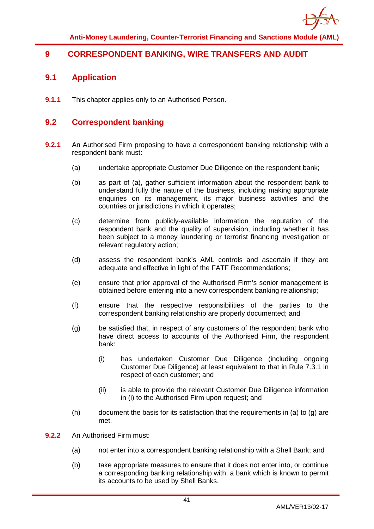

## <span id="page-41-1"></span><span id="page-41-0"></span>**9 CORRESPONDENT BANKING, WIRE TRANSFERS AND AUDIT**

## **9.1 Application**

**9.1.1** This chapter applies only to an Authorised Person.

## <span id="page-41-2"></span>**9.2 Correspondent banking**

- **9.2.1** An Authorised Firm proposing to have a correspondent banking relationship with a respondent bank must:
	- (a) undertake appropriate Customer Due Diligence on the respondent bank;
	- (b) as part of (a), gather sufficient information about the respondent bank to understand fully the nature of the business, including making appropriate enquiries on its management, its major business activities and the countries or jurisdictions in which it operates;
	- (c) determine from publicly-available information the reputation of the respondent bank and the quality of supervision, including whether it has been subject to a money laundering or terrorist financing investigation or relevant regulatory action;
	- (d) assess the respondent bank's AML controls and ascertain if they are adequate and effective in light of the FATF Recommendations;
	- (e) ensure that prior approval of the Authorised Firm's senior management is obtained before entering into a new correspondent banking relationship;
	- (f) ensure that the respective responsibilities of the parties to the correspondent banking relationship are properly documented; and
	- (g) be satisfied that, in respect of any customers of the respondent bank who have direct access to accounts of the Authorised Firm, the respondent bank:
		- (i) has undertaken Customer Due Diligence (including ongoing Customer Due Diligence) at least equivalent to that in Rule 7.3.1 in respect of each customer; and
		- (ii) is able to provide the relevant Customer Due Diligence information in (i) to the Authorised Firm upon request; and
	- $(h)$  document the basis for its satisfaction that the requirements in (a) to (g) are met.
- **9.2.2** An Authorised Firm must:
	- (a) not enter into a correspondent banking relationship with a Shell Bank; and
	- (b) take appropriate measures to ensure that it does not enter into, or continue a corresponding banking relationship with, a bank which is known to permit its accounts to be used by Shell Banks.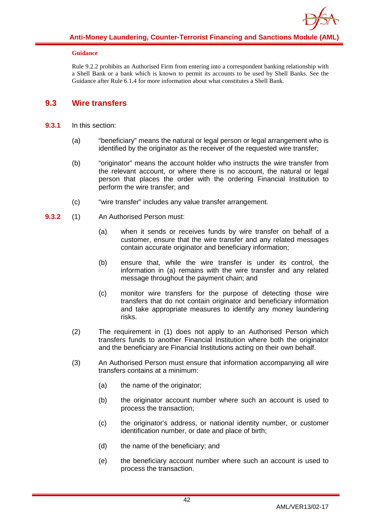

#### **Guidance**

Rule 9.2.2 prohibits an Authorised Firm from entering into a correspondent banking relationship with a Shell Bank or a bank which is known to permit its accounts to be used by Shell Banks. See the Guidance after Rule 6.1.4 for more information about what constitutes a Shell Bank.

## <span id="page-42-0"></span>**9.3 Wire transfers**

- **9.3.1** In this section:
	- (a) "beneficiary" means the natural or legal person or legal arrangement who is identified by the originator as the receiver of the requested wire transfer;
	- (b) "originator" means the account holder who instructs the wire transfer from the relevant account, or where there is no account, the natural or legal person that places the order with the ordering Financial Institution to perform the wire transfer; and
	- (c) "wire transfer" includes any value transfer arrangement.
- **9.3.2** (1) An Authorised Person must:
	- (a) when it sends or receives funds by wire transfer on behalf of a customer, ensure that the wire transfer and any related messages contain accurate originator and beneficiary information;
	- (b) ensure that, while the wire transfer is under its control, the information in (a) remains with the wire transfer and any related message throughout the payment chain; and
	- (c) monitor wire transfers for the purpose of detecting those wire transfers that do not contain originator and beneficiary information and take appropriate measures to identify any money laundering risks.
	- (2) The requirement in (1) does not apply to an Authorised Person which transfers funds to another Financial Institution where both the originator and the beneficiary are Financial Institutions acting on their own behalf.
	- (3) An Authorised Person must ensure that information accompanying all wire transfers contains at a minimum:
		- (a) the name of the originator;
		- (b) the originator account number where such an account is used to process the transaction;
		- (c) the originator's address, or national identity number, or customer identification number, or date and place of birth;
		- (d) the name of the beneficiary; and
		- (e) the beneficiary account number where such an account is used to process the transaction.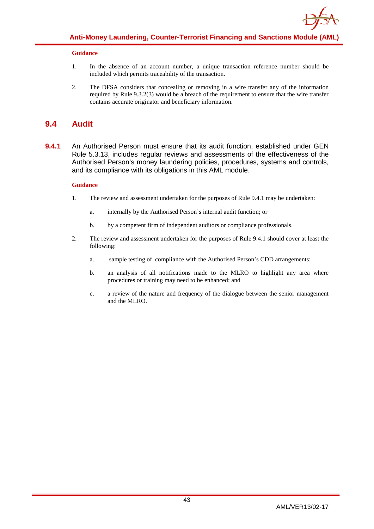

#### **Guidance**

- 1. In the absence of an account number, a unique transaction reference number should be included which permits traceability of the transaction.
- 2. The DFSA considers that concealing or removing in a wire transfer any of the information required by Rule 9.3.2(3) would be a breach of the requirement to ensure that the wire transfer contains accurate originator and beneficiary information.

## <span id="page-43-0"></span>**9.4 Audit**

**9.4.1** An Authorised Person must ensure that its audit function, established under GEN Rule 5.3.13, includes regular reviews and assessments of the effectiveness of the Authorised Person's money laundering policies, procedures, systems and controls, and its compliance with its obligations in this AML module.

- 1. The review and assessment undertaken for the purposes of Rule 9.4.1 may be undertaken:
	- a. internally by the Authorised Person's internal audit function; or
	- b. by a competent firm of independent auditors or compliance professionals.
- 2. The review and assessment undertaken for the purposes of Rule 9.4.1 should cover at least the following:
	- a. sample testing of compliance with the Authorised Person's CDD arrangements;
	- b. an analysis of all notifications made to the MLRO to highlight any area where procedures or training may need to be enhanced; and
	- c. a review of the nature and frequency of the dialogue between the senior management and the MLRO.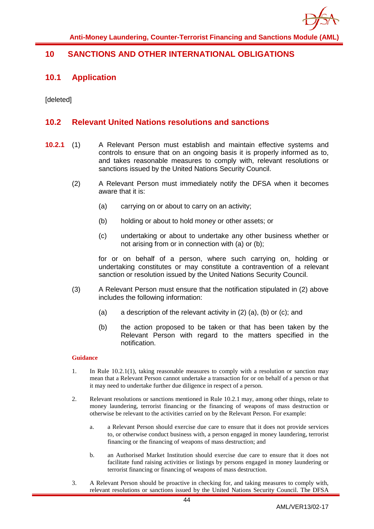

## <span id="page-44-1"></span><span id="page-44-0"></span>**10 SANCTIONS AND OTHER INTERNATIONAL OBLIGATIONS**

## **10.1 Application**

[deleted]

## <span id="page-44-2"></span>**10.2 Relevant United Nations resolutions and sanctions**

- **10.2.1** (1) A Relevant Person must establish and maintain effective systems and controls to ensure that on an ongoing basis it is properly informed as to, and takes reasonable measures to comply with, relevant resolutions or sanctions issued by the United Nations Security Council.
	- (2) A Relevant Person must immediately notify the DFSA when it becomes aware that it is:
		- (a) carrying on or about to carry on an activity;
		- (b) holding or about to hold money or other assets; or
		- (c) undertaking or about to undertake any other business whether or not arising from or in connection with (a) or (b);

for or on behalf of a person, where such carrying on, holding or undertaking constitutes or may constitute a contravention of a relevant sanction or resolution issued by the United Nations Security Council.

- (3) A Relevant Person must ensure that the notification stipulated in (2) above includes the following information:
	- (a) a description of the relevant activity in (2) (a), (b) or (c); and
	- (b) the action proposed to be taken or that has been taken by the Relevant Person with regard to the matters specified in the notification.

- 1. In Rule 10.2.1(1), taking reasonable measures to comply with a resolution or sanction may mean that a Relevant Person cannot undertake a transaction for or on behalf of a person or that it may need to undertake further due diligence in respect of a person.
- 2. Relevant resolutions or sanctions mentioned in Rule 10.2.1 may, among other things, relate to money laundering, terrorist financing or the financing of weapons of mass destruction or otherwise be relevant to the activities carried on by the Relevant Person. For example:
	- a. a Relevant Person should exercise due care to ensure that it does not provide services to, or otherwise conduct business with, a person engaged in money laundering, terrorist financing or the financing of weapons of mass destruction; and
	- b. an Authorised Market Institution should exercise due care to ensure that it does not facilitate fund raising activities or listings by persons engaged in money laundering or terrorist financing or financing of weapons of mass destruction.
- 3. A Relevant Person should be proactive in checking for, and taking measures to comply with, relevant resolutions or sanctions issued by the United Nations Security Council. The DFSA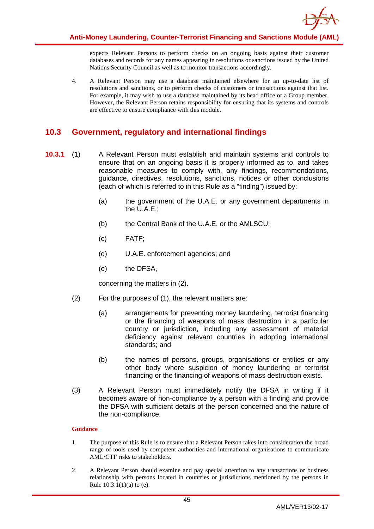

expects Relevant Persons to perform checks on an ongoing basis against their customer databases and records for any names appearing in resolutions or sanctions issued by the United Nations Security Council as well as to monitor transactions accordingly.

4. A Relevant Person may use a database maintained elsewhere for an up-to-date list of resolutions and sanctions, or to perform checks of customers or transactions against that list. For example, it may wish to use a database maintained by its head office or a Group member. However, the Relevant Person retains responsibility for ensuring that its systems and controls are effective to ensure compliance with this module.

## <span id="page-45-0"></span>**10.3 Government, regulatory and international findings**

- **10.3.1** (1) A Relevant Person must establish and maintain systems and controls to ensure that on an ongoing basis it is properly informed as to, and takes reasonable measures to comply with, any findings, recommendations, guidance, directives, resolutions, sanctions, notices or other conclusions (each of which is referred to in this Rule as a "finding") issued by:
	- (a) the government of the U.A.E. or any government departments in the U.A.E.;
	- (b) the Central Bank of the U.A.E. or the AMLSCU;
	- (c) FATF;
	- (d) U.A.E. enforcement agencies; and
	- (e) the DFSA,

concerning the matters in (2).

- (2) For the purposes of (1), the relevant matters are:
	- (a) arrangements for preventing money laundering, terrorist financing or the financing of weapons of mass destruction in a particular country or jurisdiction, including any assessment of material deficiency against relevant countries in adopting international standards; and
	- (b) the names of persons, groups, organisations or entities or any other body where suspicion of money laundering or terrorist financing or the financing of weapons of mass destruction exists.
- (3) A Relevant Person must immediately notify the DFSA in writing if it becomes aware of non-compliance by a person with a finding and provide the DFSA with sufficient details of the person concerned and the nature of the non-compliance.

- 1. The purpose of this Rule is to ensure that a Relevant Person takes into consideration the broad range of tools used by competent authorities and international organisations to communicate AML/CTF risks to stakeholders.
- 2. A Relevant Person should examine and pay special attention to any transactions or business relationship with persons located in countries or jurisdictions mentioned by the persons in Rule 10.3.1(1)(a) to (e).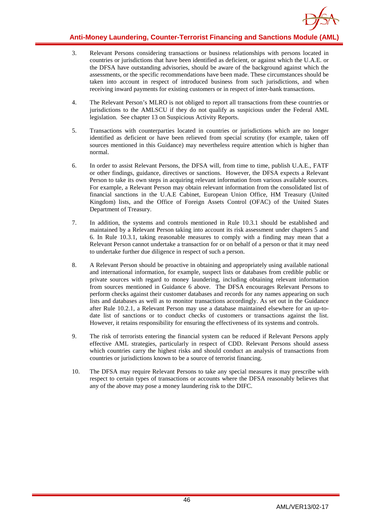

- 3. Relevant Persons considering transactions or business relationships with persons located in countries or jurisdictions that have been identified as deficient, or against which the U.A.E. or the DFSA have outstanding advisories, should be aware of the background against which the assessments, or the specific recommendations have been made. These circumstances should be taken into account in respect of introduced business from such jurisdictions, and when receiving inward payments for existing customers or in respect of inter-bank transactions.
- 4. The Relevant Person's MLRO is not obliged to report all transactions from these countries or jurisdictions to the AMLSCU if they do not qualify as suspicious under the Federal AML legislation. See chapter 13 on Suspicious Activity Reports.
- 5. Transactions with counterparties located in countries or jurisdictions which are no longer identified as deficient or have been relieved from special scrutiny (for example, taken off sources mentioned in this Guidance) may nevertheless require attention which is higher than normal.
- 6. In order to assist Relevant Persons, the DFSA will, from time to time, publish U.A.E., FATF or other findings, guidance, directives or sanctions. However, the DFSA expects a Relevant Person to take its own steps in acquiring relevant information from various available sources. For example, a Relevant Person may obtain relevant information from the consolidated list of financial sanctions in the U.A.E Cabinet, European Union Office, HM Treasury (United Kingdom) lists, and the Office of Foreign Assets Control (OFAC) of the United States Department of Treasury.
- 7. In addition, the systems and controls mentioned in Rule 10.3.1 should be established and maintained by a Relevant Person taking into account its risk assessment under chapters 5 and 6. In Rule 10.3.1, taking reasonable measures to comply with a finding may mean that a Relevant Person cannot undertake a transaction for or on behalf of a person or that it may need to undertake further due diligence in respect of such a person.
- 8. A Relevant Person should be proactive in obtaining and appropriately using available national and international information, for example, suspect lists or databases from credible public or private sources with regard to money laundering, including obtaining relevant information from sources mentioned in Guidance 6 above. The DFSA encourages Relevant Persons to perform checks against their customer databases and records for any names appearing on such lists and databases as well as to monitor transactions accordingly. As set out in the Guidance after Rule 10.2.1, a Relevant Person may use a database maintained elsewhere for an up-todate list of sanctions or to conduct checks of customers or transactions against the list. However, it retains responsibility for ensuring the effectiveness of its systems and controls.
- 9. The risk of terrorists entering the financial system can be reduced if Relevant Persons apply effective AML strategies, particularly in respect of CDD. Relevant Persons should assess which countries carry the highest risks and should conduct an analysis of transactions from countries or jurisdictions known to be a source of terrorist financing.
- 10. The DFSA may require Relevant Persons to take any special measures it may prescribe with respect to certain types of transactions or accounts where the DFSA reasonably believes that any of the above may pose a money laundering risk to the DIFC.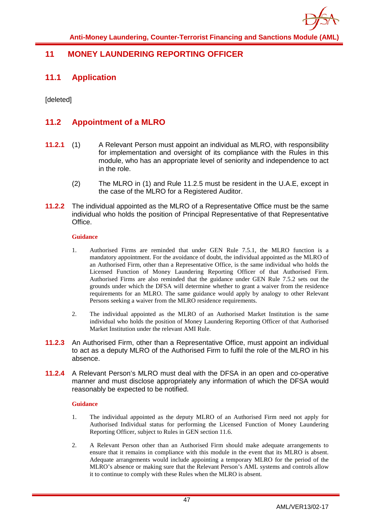## <span id="page-47-1"></span><span id="page-47-0"></span>**11 MONEY LAUNDERING REPORTING OFFICER**

## **11.1 Application**

[deleted]

## <span id="page-47-2"></span>**11.2 Appointment of a MLRO**

- **11.2.1** (1) A Relevant Person must appoint an individual as MLRO, with responsibility for implementation and oversight of its compliance with the Rules in this module, who has an appropriate level of seniority and independence to act in the role.
	- (2) The MLRO in (1) and Rule 11.2.5 must be resident in the U.A.E, except in the case of the MLRO for a Registered Auditor.
- **11.2.2** The individual appointed as the MLRO of a Representative Office must be the same individual who holds the position of Principal Representative of that Representative Office.

#### **Guidance**

- 1. Authorised Firms are reminded that under GEN Rule 7.5.1, the MLRO function is a mandatory appointment. For the avoidance of doubt, the individual appointed as the MLRO of an Authorised Firm, other than a Representative Office, is the same individual who holds the Licensed Function of Money Laundering Reporting Officer of that Authorised Firm. Authorised Firms are also reminded that the guidance under GEN Rule 7.5.2 sets out the grounds under which the DFSA will determine whether to grant a waiver from the residence requirements for an MLRO. The same guidance would apply by analogy to other Relevant Persons seeking a waiver from the MLRO residence requirements.
- 2. The individual appointed as the MLRO of an Authorised Market Institution is the same individual who holds the position of Money Laundering Reporting Officer of that Authorised Market Institution under the relevant AMI Rule.
- **11.2.3** An Authorised Firm, other than a Representative Office, must appoint an individual to act as a deputy MLRO of the Authorised Firm to fulfil the role of the MLRO in his absence.
- **11.2.4** A Relevant Person's MLRO must deal with the DFSA in an open and co-operative manner and must disclose appropriately any information of which the DFSA would reasonably be expected to be notified.

- 1. The individual appointed as the deputy MLRO of an Authorised Firm need not apply for Authorised Individual status for performing the Licensed Function of Money Laundering Reporting Officer, subject to Rules in GEN section 11.6.
- 2. A Relevant Person other than an Authorised Firm should make adequate arrangements to ensure that it remains in compliance with this module in the event that its MLRO is absent. Adequate arrangements would include appointing a temporary MLRO for the period of the MLRO's absence or making sure that the Relevant Person's AML systems and controls allow it to continue to comply with these Rules when the MLRO is absent.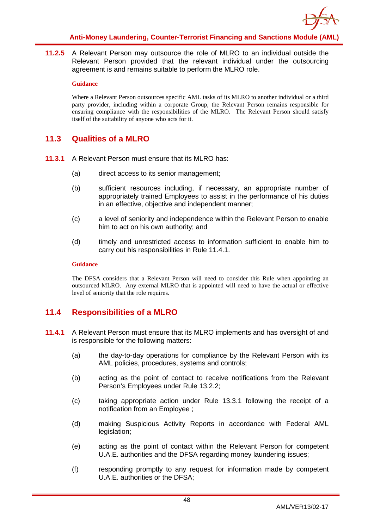

**11.2.5** A Relevant Person may outsource the role of MLRO to an individual outside the Relevant Person provided that the relevant individual under the outsourcing agreement is and remains suitable to perform the MLRO role.

#### **Guidance**

Where a Relevant Person outsources specific AML tasks of its MLRO to another individual or a third party provider, including within a corporate Group, the Relevant Person remains responsible for ensuring compliance with the responsibilities of the MLRO. The Relevant Person should satisfy itself of the suitability of anyone who acts for it.

## <span id="page-48-0"></span>**11.3 Qualities of a MLRO**

- **11.3.1** A Relevant Person must ensure that its MLRO has:
	- (a) direct access to its senior management;
	- (b) sufficient resources including, if necessary, an appropriate number of appropriately trained Employees to assist in the performance of his duties in an effective, objective and independent manner;
	- (c) a level of seniority and independence within the Relevant Person to enable him to act on his own authority; and
	- (d) timely and unrestricted access to information sufficient to enable him to carry out his responsibilities in Rule 11.4.1.

#### **Guidance**

The DFSA considers that a Relevant Person will need to consider this Rule when appointing an outsourced MLRO. Any external MLRO that is appointed will need to have the actual or effective level of seniority that the role requires.

## <span id="page-48-1"></span>**11.4 Responsibilities of a MLRO**

- **11.4.1** A Relevant Person must ensure that its MLRO implements and has oversight of and is responsible for the following matters:
	- (a) the day-to-day operations for compliance by the Relevant Person with its AML policies, procedures, systems and controls;
	- (b) acting as the point of contact to receive notifications from the Relevant Person's Employees under Rule 13.2.2;
	- (c) taking appropriate action under Rule 13.3.1 following the receipt of a notification from an Employee ;
	- (d) making Suspicious Activity Reports in accordance with Federal AML legislation;
	- (e) acting as the point of contact within the Relevant Person for competent U.A.E. authorities and the DFSA regarding money laundering issues;
	- (f) responding promptly to any request for information made by competent U.A.E. authorities or the DFSA;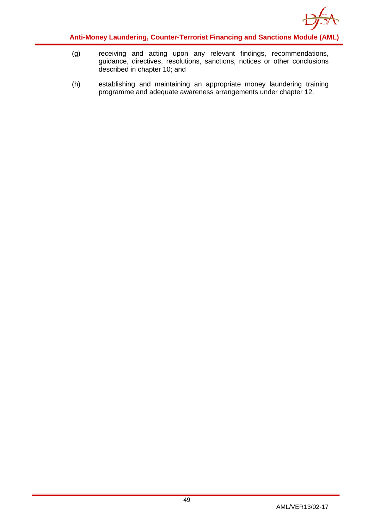

- (g) receiving and acting upon any relevant findings, recommendations, guidance, directives, resolutions, sanctions, notices or other conclusions described in chapter 10; and
- (h) establishing and maintaining an appropriate money laundering training programme and adequate awareness arrangements under chapter 12.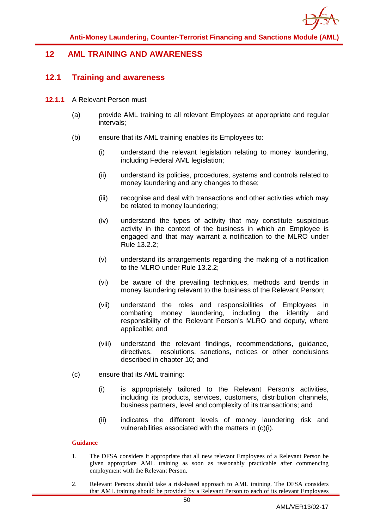

## <span id="page-50-1"></span><span id="page-50-0"></span>**12 AML TRAINING AND AWARENESS**

## **12.1 Training and awareness**

- **12.1.1** A Relevant Person must
	- (a) provide AML training to all relevant Employees at appropriate and regular intervals;
	- (b) ensure that its AML training enables its Employees to:
		- (i) understand the relevant legislation relating to money laundering, including Federal AML legislation;
		- (ii) understand its policies, procedures, systems and controls related to money laundering and any changes to these;
		- (iii) recognise and deal with transactions and other activities which may be related to money laundering;
		- (iv) understand the types of activity that may constitute suspicious activity in the context of the business in which an Employee is engaged and that may warrant a notification to the MLRO under Rule 13.2.2;
		- (v) understand its arrangements regarding the making of a notification to the MLRO under Rule 13.2.2;
		- (vi) be aware of the prevailing techniques, methods and trends in money laundering relevant to the business of the Relevant Person;
		- (vii) understand the roles and responsibilities of Employees in combating money laundering, including the identity and responsibility of the Relevant Person's MLRO and deputy, where applicable; and
		- (viii) understand the relevant findings, recommendations, guidance, directives, resolutions, sanctions, notices or other conclusions described in chapter 10; and
	- (c) ensure that its AML training:
		- (i) is appropriately tailored to the Relevant Person's activities, including its products, services, customers, distribution channels, business partners, level and complexity of its transactions; and
		- (ii) indicates the different levels of money laundering risk and vulnerabilities associated with the matters in (c)(i).

- 1. The DFSA considers it appropriate that all new relevant Employees of a Relevant Person be given appropriate AML training as soon as reasonably practicable after commencing employment with the Relevant Person.
- 2. Relevant Persons should take a risk-based approach to AML training. The DFSA considers that AML training should be provided by a Relevant Person to each of its relevant Employees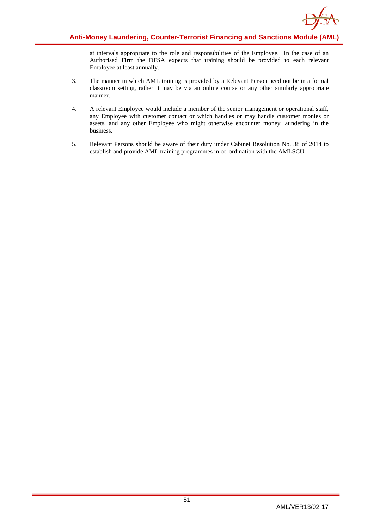

at intervals appropriate to the role and responsibilities of the Employee. In the case of an Authorised Firm the DFSA expects that training should be provided to each relevant Employee at least annually.

- 3. The manner in which AML training is provided by a Relevant Person need not be in a formal classroom setting, rather it may be via an online course or any other similarly appropriate manner.
- 4. A relevant Employee would include a member of the senior management or operational staff, any Employee with customer contact or which handles or may handle customer monies or assets, and any other Employee who might otherwise encounter money laundering in the business.
- 5. Relevant Persons should be aware of their duty under Cabinet Resolution No. 38 of 2014 to establish and provide AML training programmes in co-ordination with the AMLSCU.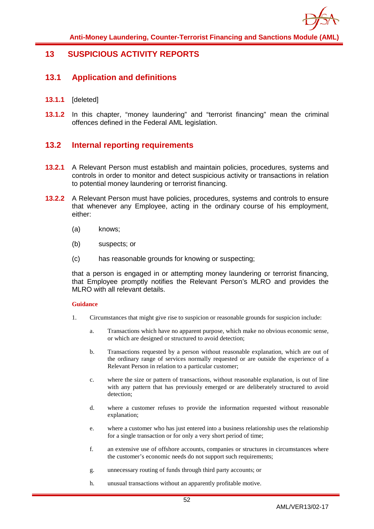

## <span id="page-52-1"></span><span id="page-52-0"></span>**13 SUSPICIOUS ACTIVITY REPORTS**

## **13.1 Application and definitions**

- **13.1.1** [deleted]
- **13.1.2** In this chapter, "money laundering" and "terrorist financing" mean the criminal offences defined in the Federal AML legislation.

## <span id="page-52-2"></span>**13.2 Internal reporting requirements**

- **13.2.1** A Relevant Person must establish and maintain policies, procedures, systems and controls in order to monitor and detect suspicious activity or transactions in relation to potential money laundering or terrorist financing.
- **13.2.2** A Relevant Person must have policies, procedures, systems and controls to ensure that whenever any Employee, acting in the ordinary course of his employment, either:
	- (a) knows;
	- (b) suspects; or
	- (c) has reasonable grounds for knowing or suspecting;

that a person is engaged in or attempting money laundering or terrorist financing, that Employee promptly notifies the Relevant Person's MLRO and provides the MLRO with all relevant details.

- 1. Circumstances that might give rise to suspicion or reasonable grounds for suspicion include:
	- a. Transactions which have no apparent purpose, which make no obvious economic sense, or which are designed or structured to avoid detection;
	- b. Transactions requested by a person without reasonable explanation, which are out of the ordinary range of services normally requested or are outside the experience of a Relevant Person in relation to a particular customer;
	- c. where the size or pattern of transactions, without reasonable explanation, is out of line with any pattern that has previously emerged or are deliberately structured to avoid detection;
	- d. where a customer refuses to provide the information requested without reasonable explanation;
	- e. where a customer who has just entered into a business relationship uses the relationship for a single transaction or for only a very short period of time;
	- f. an extensive use of offshore accounts, companies or structures in circumstances where the customer's economic needs do not support such requirements;
	- g. unnecessary routing of funds through third party accounts; or
	- h. unusual transactions without an apparently profitable motive.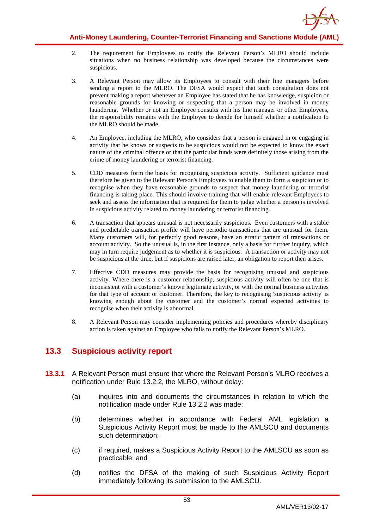

- 2. The requirement for Employees to notify the Relevant Person's MLRO should include situations when no business relationship was developed because the circumstances were suspicious.
- 3. A Relevant Person may allow its Employees to consult with their line managers before sending a report to the MLRO. The DFSA would expect that such consultation does not prevent making a report whenever an Employee has stated that he has knowledge, suspicion or reasonable grounds for knowing or suspecting that a person may be involved in money laundering. Whether or not an Employee consults with his line manager or other Employees, the responsibility remains with the Employee to decide for himself whether a notification to the MLRO should be made.
- 4. An Employee, including the MLRO, who considers that a person is engaged in or engaging in activity that he knows or suspects to be suspicious would not be expected to know the exact nature of the criminal offence or that the particular funds were definitely those arising from the crime of money laundering or terrorist financing.
- 5. CDD measures form the basis for recognising suspicious activity. Sufficient guidance must therefore be given to the Relevant Person's Employees to enable them to form a suspicion or to recognise when they have reasonable grounds to suspect that money laundering or terrorist financing is taking place. This should involve training that will enable relevant Employees to seek and assess the information that is required for them to judge whether a person is involved in suspicious activity related to money laundering or terrorist financing.
- 6. A transaction that appears unusual is not necessarily suspicious. Even customers with a stable and predictable transaction profile will have periodic transactions that are unusual for them. Many customers will, for perfectly good reasons, have an erratic pattern of transactions or account activity. So the unusual is, in the first instance, only a basis for further inquiry, which may in turn require judgement as to whether it is suspicious. A transaction or activity may not be suspicious at the time, but if suspicions are raised later, an obligation to report then arises.
- 7. Effective CDD measures may provide the basis for recognising unusual and suspicious activity. Where there is a customer relationship, suspicious activity will often be one that is inconsistent with a customer's known legitimate activity, or with the normal business activities for that type of account or customer. Therefore, the key to recognising 'suspicious activity' is knowing enough about the customer and the customer's normal expected activities to recognise when their activity is abnormal.
- 8. A Relevant Person may consider implementing policies and procedures whereby disciplinary action is taken against an Employee who fails to notify the Relevant Person's MLRO.

## <span id="page-53-0"></span>**13.3 Suspicious activity report**

- **13.3.1** A Relevant Person must ensure that where the Relevant Person's MLRO receives a notification under Rule 13.2.2, the MLRO, without delay:
	- (a) inquires into and documents the circumstances in relation to which the notification made under Rule 13.2.2 was made;
	- (b) determines whether in accordance with Federal AML legislation a Suspicious Activity Report must be made to the AMLSCU and documents such determination;
	- (c) if required, makes a Suspicious Activity Report to the AMLSCU as soon as practicable; and
	- (d) notifies the DFSA of the making of such Suspicious Activity Report immediately following its submission to the AMLSCU.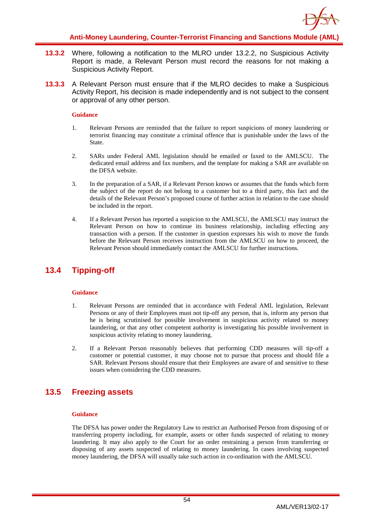

- **13.3.2** Where, following a notification to the MLRO under 13.2.2, no Suspicious Activity Report is made, a Relevant Person must record the reasons for not making a Suspicious Activity Report.
- **13.3.3** A Relevant Person must ensure that if the MLRO decides to make a Suspicious Activity Report, his decision is made independently and is not subject to the consent or approval of any other person.

#### **Guidance**

- 1. Relevant Persons are reminded that the failure to report suspicions of money laundering or terrorist financing may constitute a criminal offence that is punishable under the laws of the State.
- 2. SARs under Federal AML legislation should be emailed or faxed to the AMLSCU. The dedicated email address and fax numbers, and the template for making a SAR are available on the DFSA website.
- 3. In the preparation of a SAR, if a Relevant Person knows or assumes that the funds which form the subject of the report do not belong to a customer but to a third party, this fact and the details of the Relevant Person's proposed course of further action in relation to the case should be included in the report.
- 4. If a Relevant Person has reported a suspicion to the AMLSCU, the AMLSCU may instruct the Relevant Person on how to continue its business relationship, including effecting any transaction with a person. If the customer in question expresses his wish to move the funds before the Relevant Person receives instruction from the AMLSCU on how to proceed, the Relevant Person should immediately contact the AMLSCU for further instructions.

## <span id="page-54-0"></span>**13.4 Tipping-off**

#### **Guidance**

- 1. Relevant Persons are reminded that in accordance with Federal AML legislation, Relevant Persons or any of their Employees must not tip-off any person, that is, inform any person that he is being scrutinised for possible involvement in suspicious activity related to money laundering, or that any other competent authority is investigating his possible involvement in suspicious activity relating to money laundering.
- 2. If a Relevant Person reasonably believes that performing CDD measures will tip-off a customer or potential customer, it may choose not to pursue that process and should file a SAR. Relevant Persons should ensure that their Employees are aware of and sensitive to these issues when considering the CDD measures.

## <span id="page-54-1"></span>**13.5 Freezing assets**

#### **Guidance**

The DFSA has power under the Regulatory Law to restrict an Authorised Person from disposing of or transferring property including, for example, assets or other funds suspected of relating to money laundering. It may also apply to the Court for an order restraining a person from transferring or disposing of any assets suspected of relating to money laundering. In cases involving suspected money laundering, the DFSA will usually take such action in co-ordination with the AMLSCU.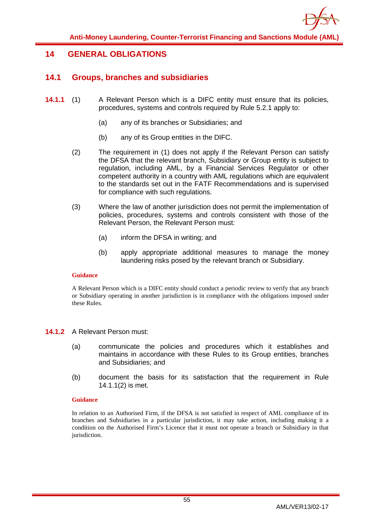

## <span id="page-55-1"></span><span id="page-55-0"></span>**14 GENERAL OBLIGATIONS**

## **14.1 Groups, branches and subsidiaries**

- **14.1.1** (1) A Relevant Person which is a DIFC entity must ensure that its policies, procedures, systems and controls required by Rule 5.2.1 apply to:
	- (a) any of its branches or Subsidiaries; and
	- (b) any of its Group entities in the DIFC.
	- (2) The requirement in (1) does not apply if the Relevant Person can satisfy the DFSA that the relevant branch, Subsidiary or Group entity is subject to regulation, including AML, by a Financial Services Regulator or other competent authority in a country with AML regulations which are equivalent to the standards set out in the FATF Recommendations and is supervised for compliance with such regulations.
	- (3) Where the law of another jurisdiction does not permit the implementation of policies, procedures, systems and controls consistent with those of the Relevant Person, the Relevant Person must:
		- (a) inform the DFSA in writing; and
		- (b) apply appropriate additional measures to manage the money laundering risks posed by the relevant branch or Subsidiary.

#### **Guidance**

A Relevant Person which is a DIFC entity should conduct a periodic review to verify that any branch or Subsidiary operating in another jurisdiction is in compliance with the obligations imposed under these Rules.

#### **14.1.2** A Relevant Person must:

- (a) communicate the policies and procedures which it establishes and maintains in accordance with these Rules to its Group entities, branches and Subsidiaries; and
- (b) document the basis for its satisfaction that the requirement in Rule 14.1.1(2) is met.

#### **Guidance**

In relation to an Authorised Firm, if the DFSA is not satisfied in respect of AML compliance of its branches and Subsidiaries in a particular jurisdiction, it may take action, including making it a condition on the Authorised Firm's Licence that it must not operate a branch or Subsidiary in that jurisdiction.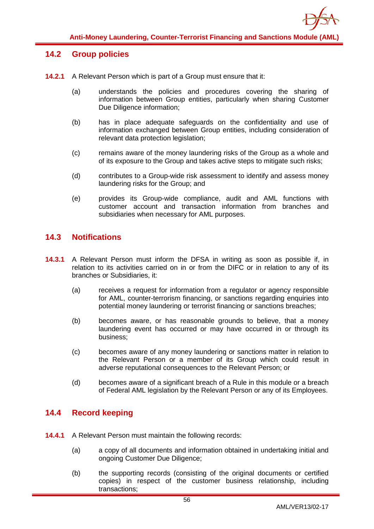

## <span id="page-56-0"></span>**14.2 Group policies**

- **14.2.1** A Relevant Person which is part of a Group must ensure that it:
	- (a) understands the policies and procedures covering the sharing of information between Group entities, particularly when sharing Customer Due Diligence information:
	- (b) has in place adequate safeguards on the confidentiality and use of information exchanged between Group entities, including consideration of relevant data protection legislation;
	- (c) remains aware of the money laundering risks of the Group as a whole and of its exposure to the Group and takes active steps to mitigate such risks;
	- (d) contributes to a Group-wide risk assessment to identify and assess money laundering risks for the Group; and
	- (e) provides its Group-wide compliance, audit and AML functions with customer account and transaction information from branches and subsidiaries when necessary for AML purposes.

## <span id="page-56-1"></span>**14.3 Notifications**

- **14.3.1** A Relevant Person must inform the DFSA in writing as soon as possible if, in relation to its activities carried on in or from the DIFC or in relation to any of its branches or Subsidiaries, it:
	- (a) receives a request for information from a regulator or agency responsible for AML, counter-terrorism financing, or sanctions regarding enquiries into potential money laundering or terrorist financing or sanctions breaches;
	- (b) becomes aware, or has reasonable grounds to believe, that a money laundering event has occurred or may have occurred in or through its business;
	- (c) becomes aware of any money laundering or sanctions matter in relation to the Relevant Person or a member of its Group which could result in adverse reputational consequences to the Relevant Person; or
	- (d) becomes aware of a significant breach of a Rule in this module or a breach of Federal AML legislation by the Relevant Person or any of its Employees.

## <span id="page-56-2"></span>**14.4 Record keeping**

- **14.4.1** A Relevant Person must maintain the following records:
	- (a) a copy of all documents and information obtained in undertaking initial and ongoing Customer Due Diligence;
	- (b) the supporting records (consisting of the original documents or certified copies) in respect of the customer business relationship, including transactions;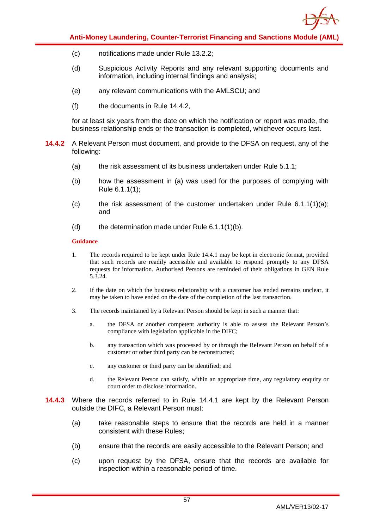

- (c) notifications made under Rule 13.2.2;
- (d) Suspicious Activity Reports and any relevant supporting documents and information, including internal findings and analysis;
- (e) any relevant communications with the AMLSCU; and
- (f) the documents in Rule 14.4.2,

for at least six years from the date on which the notification or report was made, the business relationship ends or the transaction is completed, whichever occurs last.

- **14.4.2** A Relevant Person must document, and provide to the DFSA on request, any of the following:
	- (a) the risk assessment of its business undertaken under Rule 5.1.1;
	- (b) how the assessment in (a) was used for the purposes of complying with Rule 6.1.1(1);
	- (c) the risk assessment of the customer undertaken under Rule  $6.1.1(1)(a)$ ; and
	- (d) the determination made under Rule  $6.1.1(1)(b)$ .

- 1. The records required to be kept under Rule 14.4.1 may be kept in electronic format, provided that such records are readily accessible and available to respond promptly to any DFSA requests for information. Authorised Persons are reminded of their obligations in GEN Rule 5.3.24.
- 2. If the date on which the business relationship with a customer has ended remains unclear, it may be taken to have ended on the date of the completion of the last transaction.
- 3. The records maintained by a Relevant Person should be kept in such a manner that:
	- a. the DFSA or another competent authority is able to assess the Relevant Person's compliance with legislation applicable in the DIFC;
	- b. any transaction which was processed by or through the Relevant Person on behalf of a customer or other third party can be reconstructed;
	- c. any customer or third party can be identified; and
	- d. the Relevant Person can satisfy, within an appropriate time, any regulatory enquiry or court order to disclose information.
- **14.4.3** Where the records referred to in Rule 14.4.1 are kept by the Relevant Person outside the DIFC, a Relevant Person must:
	- (a) take reasonable steps to ensure that the records are held in a manner consistent with these Rules;
	- (b) ensure that the records are easily accessible to the Relevant Person; and
	- (c) upon request by the DFSA, ensure that the records are available for inspection within a reasonable period of time.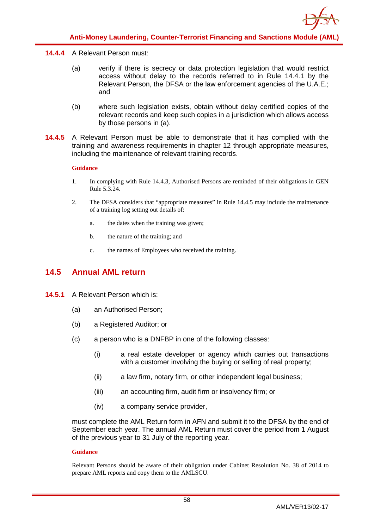#### **14.4.4** A Relevant Person must:

- (a) verify if there is secrecy or data protection legislation that would restrict access without delay to the records referred to in Rule 14.4.1 by the Relevant Person, the DFSA or the law enforcement agencies of the U.A.E.; and
- (b) where such legislation exists, obtain without delay certified copies of the relevant records and keep such copies in a jurisdiction which allows access by those persons in (a).
- **14.4.5** A Relevant Person must be able to demonstrate that it has complied with the training and awareness requirements in chapter 12 through appropriate measures, including the maintenance of relevant training records.

#### **Guidance**

- 1. In complying with Rule 14.4.3, Authorised Persons are reminded of their obligations in GEN Rule 5.3.24.
- 2. The DFSA considers that "appropriate measures" in Rule 14.4.5 may include the maintenance of a training log setting out details of:
	- a. the dates when the training was given;
	- b. the nature of the training; and
	- c. the names of Employees who received the training.

## <span id="page-58-0"></span>**14.5 Annual AML return**

- **14.5.1** A Relevant Person which is:
	- (a) an Authorised Person;
	- (b) a Registered Auditor; or
	- (c) a person who is a DNFBP in one of the following classes:
		- (i) a real estate developer or agency which carries out transactions with a customer involving the buying or selling of real property;
		- (ii) a law firm, notary firm, or other independent legal business;
		- (iii) an accounting firm, audit firm or insolvency firm; or
		- (iv) a company service provider,

must complete the AML Return form in AFN and submit it to the DFSA by the end of September each year. The annual AML Return must cover the period from 1 August of the previous year to 31 July of the reporting year.

#### **Guidance**

Relevant Persons should be aware of their obligation under Cabinet Resolution No. 38 of 2014 to prepare AML reports and copy them to the AMLSCU.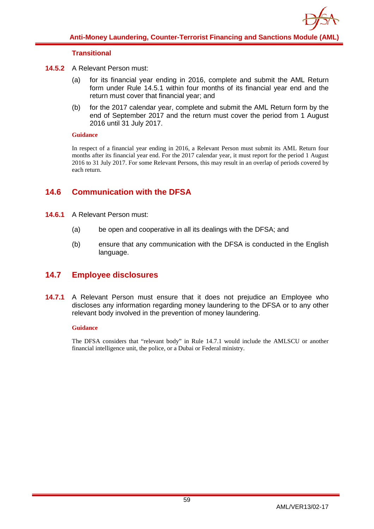

### **Transitional**

- **14.5.2** A Relevant Person must:
	- (a) for its financial year ending in 2016, complete and submit the AML Return form under Rule 14.5.1 within four months of its financial year end and the return must cover that financial year; and
	- (b) for the 2017 calendar year, complete and submit the AML Return form by the end of September 2017 and the return must cover the period from 1 August 2016 until 31 July 2017.

#### **Guidance**

In respect of a financial year ending in 2016, a Relevant Person must submit its AML Return four months after its financial year end. For the 2017 calendar year, it must report for the period 1 August 2016 to 31 July 2017. For some Relevant Persons, this may result in an overlap of periods covered by each return.

## <span id="page-59-0"></span>**14.6 Communication with the DFSA**

- **14.6.1** A Relevant Person must:
	- (a) be open and cooperative in all its dealings with the DFSA; and
	- (b) ensure that any communication with the DFSA is conducted in the English language.

## <span id="page-59-1"></span>**14.7 Employee disclosures**

**14.7.1** A Relevant Person must ensure that it does not prejudice an Employee who discloses any information regarding money laundering to the DFSA or to any other relevant body involved in the prevention of money laundering.

#### **Guidance**

The DFSA considers that "relevant body" in Rule 14.7.1 would include the AMLSCU or another financial intelligence unit, the police, or a Dubai or Federal ministry.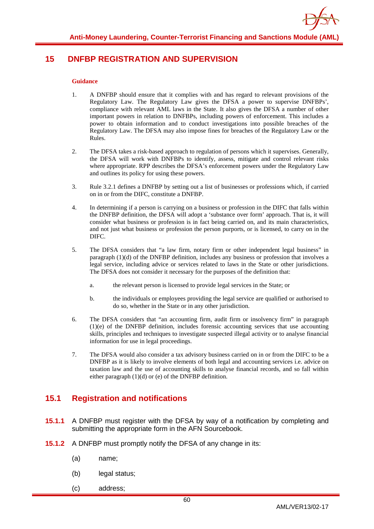## <span id="page-60-0"></span>**15 DNFBP REGISTRATION AND SUPERVISION**

#### **Guidance**

- 1. A DNFBP should ensure that it complies with and has regard to relevant provisions of the Regulatory Law. The Regulatory Law gives the DFSA a power to supervise DNFBPs', compliance with relevant AML laws in the State. It also gives the DFSA a number of other important powers in relation to DNFBPs, including powers of enforcement. This includes a power to obtain information and to conduct investigations into possible breaches of the Regulatory Law. The DFSA may also impose fines for breaches of the Regulatory Law or the Rules.
- 2. The DFSA takes a risk-based approach to regulation of persons which it supervises. Generally, the DFSA will work with DNFBPs to identify, assess, mitigate and control relevant risks where appropriate. RPP describes the DFSA's enforcement powers under the Regulatory Law and outlines its policy for using these powers.
- 3. Rule 3.2.1 defines a DNFBP by setting out a list of businesses or professions which, if carried on in or from the DIFC, constitute a DNFBP.
- 4. In determining if a person is carrying on a business or profession in the DIFC that falls within the DNFBP definition, the DFSA will adopt a 'substance over form' approach. That is, it will consider what business or profession is in fact being carried on, and its main characteristics, and not just what business or profession the person purports, or is licensed, to carry on in the DIFC.
- 5. The DFSA considers that "a law firm, notary firm or other independent legal business" in paragraph (1)(d) of the DNFBP definition, includes any business or profession that involves a legal service, including advice or services related to laws in the State or other jurisdictions. The DFSA does not consider it necessary for the purposes of the definition that:
	- a. the relevant person is licensed to provide legal services in the State; or
	- b. the individuals or employees providing the legal service are qualified or authorised to do so, whether in the State or in any other jurisdiction.
- 6. The DFSA considers that "an accounting firm, audit firm or insolvency firm" in paragraph (1)(e) of the DNFBP definition, includes forensic accounting services that use accounting skills, principles and techniques to investigate suspected illegal activity or to analyse financial information for use in legal proceedings.
- 7. The DFSA would also consider a tax advisory business carried on in or from the DIFC to be a DNFBP as it is likely to involve elements of both legal and accounting services i.e. advice on taxation law and the use of accounting skills to analyse financial records, and so fall within either paragraph (1)(d) or (e) of the DNFBP definition.

## <span id="page-60-1"></span>**15.1 Registration and notifications**

- **15.1.1** A DNFBP must register with the DFSA by way of a notification by completing and submitting the appropriate form in the AFN Sourcebook.
- **15.1.2** A DNFBP must promptly notify the DFSA of any change in its:
	- (a) name;
	- (b) legal status;
	- (c) address;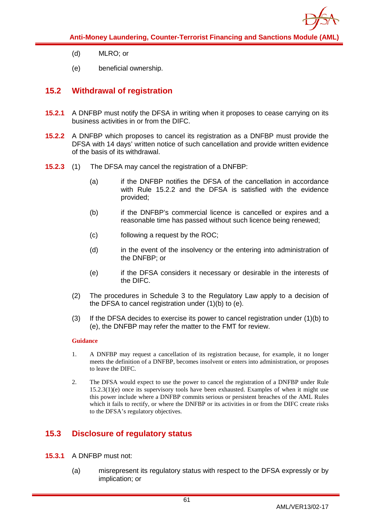

- (d) MLRO; or
- (e) beneficial ownership.

## <span id="page-61-0"></span>**15.2 Withdrawal of registration**

- **15.2.1** A DNFBP must notify the DFSA in writing when it proposes to cease carrying on its business activities in or from the DIFC.
- **15.2.2** A DNFBP which proposes to cancel its registration as a DNFBP must provide the DFSA with 14 days' written notice of such cancellation and provide written evidence of the basis of its withdrawal.
- **15.2.3** (1) The DFSA may cancel the registration of a DNFBP:
	- (a) if the DNFBP notifies the DFSA of the cancellation in accordance with Rule 15.2.2 and the DFSA is satisfied with the evidence provided;
	- (b) if the DNFBP's commercial licence is cancelled or expires and a reasonable time has passed without such licence being renewed;
	- (c) following a request by the ROC;
	- (d) in the event of the insolvency or the entering into administration of the DNFBP; or
	- (e) if the DFSA considers it necessary or desirable in the interests of the DIFC.
	- (2) The procedures in Schedule 3 to the Regulatory Law apply to a decision of the DFSA to cancel registration under (1)(b) to (e).
	- (3) If the DFSA decides to exercise its power to cancel registration under  $(1)(b)$  to (e), the DNFBP may refer the matter to the FMT for review.

#### **Guidance**

- 1. A DNFBP may request a cancellation of its registration because, for example, it no longer meets the definition of a DNFBP, becomes insolvent or enters into administration, or proposes to leave the DIFC.
- 2. The DFSA would expect to use the power to cancel the registration of a DNFBP under Rule 15.2.3(1)(e) once its supervisory tools have been exhausted. Examples of when it might use this power include where a DNFBP commits serious or persistent breaches of the AML Rules which it fails to rectify, or where the DNFBP or its activities in or from the DIFC create risks to the DFSA's regulatory objectives.

## <span id="page-61-1"></span>**15.3 Disclosure of regulatory status**

- **15.3.1** A DNFBP must not:
	- (a) misrepresent its regulatory status with respect to the DFSA expressly or by implication; or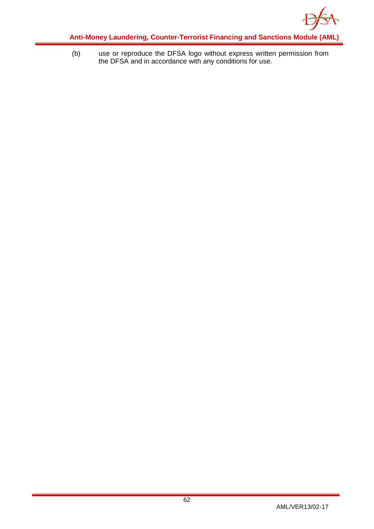

(b) use or reproduce the DFSA logo without express written permission from the DFSA and in accordance with any conditions for use.